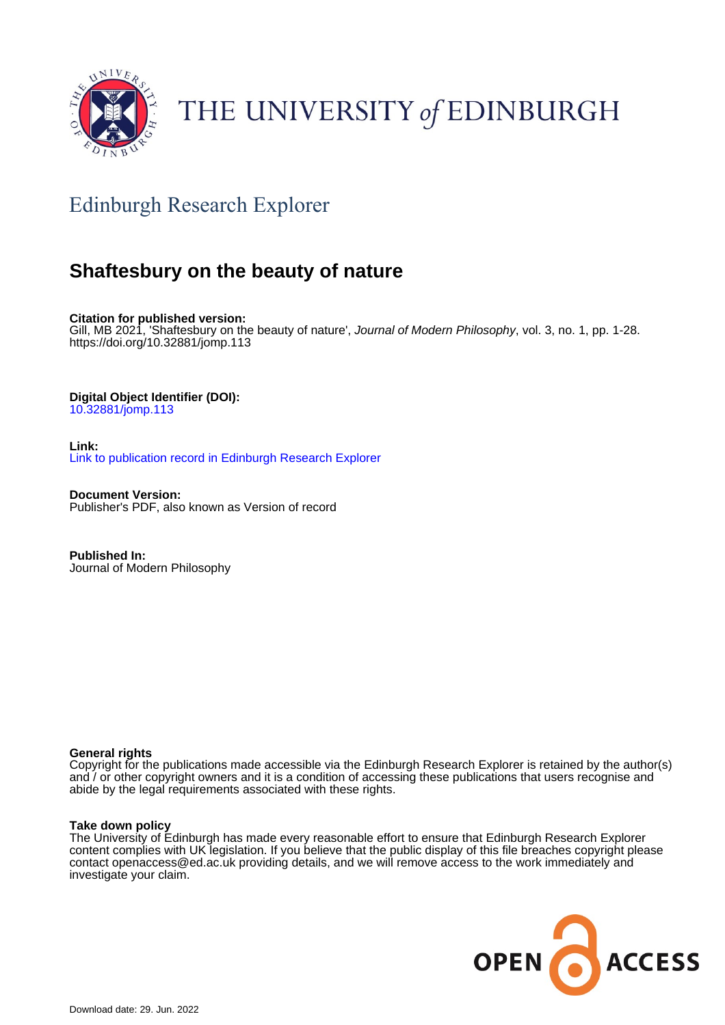

# THE UNIVERSITY of EDINBURGH

## Edinburgh Research Explorer

## **Shaftesbury on the beauty of nature**

**Citation for published version:** Gill, MB 2021, 'Shaftesbury on the beauty of nature', Journal of Modern Philosophy, vol. 3, no. 1, pp. 1-28. <https://doi.org/10.32881/jomp.113>

## **Digital Object Identifier (DOI):**

[10.32881/jomp.113](https://doi.org/10.32881/jomp.113)

**Link:** [Link to publication record in Edinburgh Research Explorer](https://www.research.ed.ac.uk/en/publications/c163ef7f-082d-4903-8e27-c084ada52267)

**Document Version:** Publisher's PDF, also known as Version of record

**Published In:** Journal of Modern Philosophy

#### **General rights**

Copyright for the publications made accessible via the Edinburgh Research Explorer is retained by the author(s) and / or other copyright owners and it is a condition of accessing these publications that users recognise and abide by the legal requirements associated with these rights.

#### **Take down policy**

The University of Edinburgh has made every reasonable effort to ensure that Edinburgh Research Explorer content complies with UK legislation. If you believe that the public display of this file breaches copyright please contact openaccess@ed.ac.uk providing details, and we will remove access to the work immediately and investigate your claim.

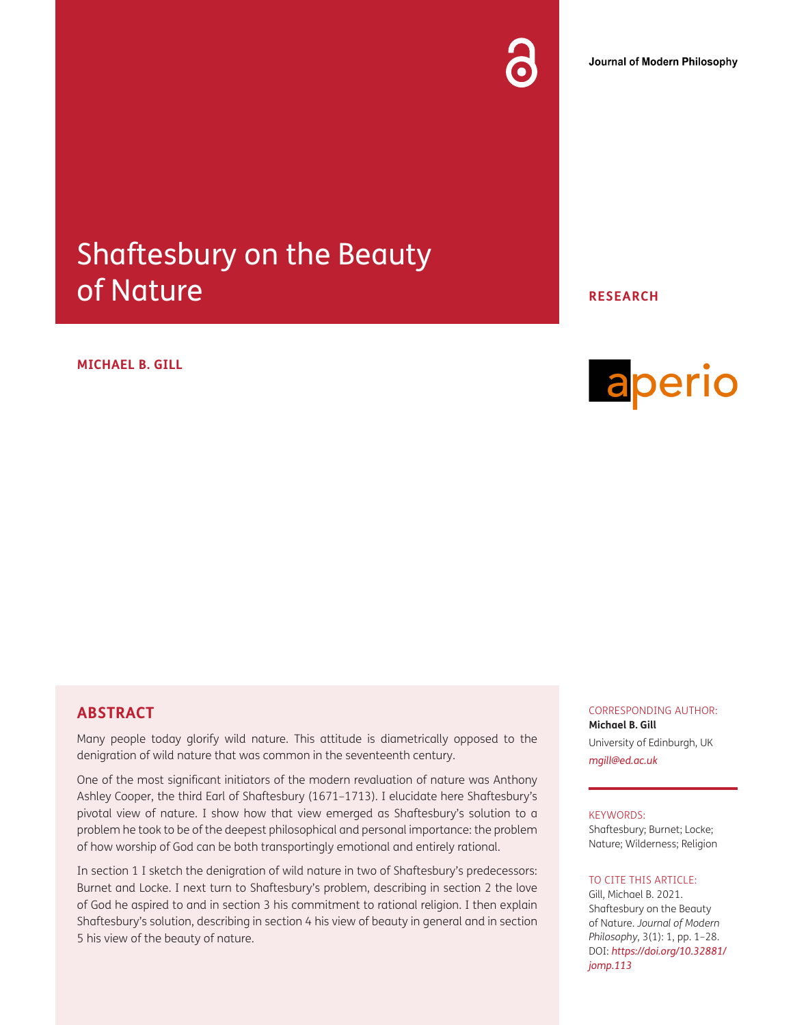# Shaftesbury on the Beauty of Nature

#### **MICHAEL B. GILL**

## **ABSTRACT**

Many people today glorify wild nature. This attitude is diametrically opposed to the denigration of wild nature that was common in the seventeenth century.

One of the most significant initiators of the modern revaluation of nature was Anthony Ashley Cooper, the third Earl of Shaftesbury (1671–1713). I elucidate here Shaftesbury's pivotal view of nature. I show how that view emerged as Shaftesbury's solution to a problem he took to be of the deepest philosophical and personal importance: the problem of how worship of God can be both transportingly emotional and entirely rational.

In section 1 I sketch the denigration of wild nature in two of Shaftesbury's predecessors: Burnet and Locke. I next turn to Shaftesbury's problem, describing in section 2 the love of God he aspired to and in section 3 his commitment to rational religion. I then explain Shaftesbury's solution, describing in section 4 his view of beauty in general and in section 5 his view of the beauty of nature.

**RESEARCH**



CORRESPONDING AUTHOR: **Michael B. Gill** University of Edinburgh, UK *[mgill@ed.ac.uk](mailto:mgill@ed.ac.uk)*

#### KEYWORDS:

Shaftesbury; Burnet; Locke; Nature; Wilderness; Religion

#### TO CITE THIS ARTICLE:

Gill, Michael B. 2021. Shaftesbury on the Beauty of Nature. *Journal of Modern Philosophy*, 3(1): 1, pp. 1–28. DOI: *[https://doi.org/10.32881/](https://doi.org/10.32881/jomp.113) [jomp.113](https://doi.org/10.32881/jomp.113)*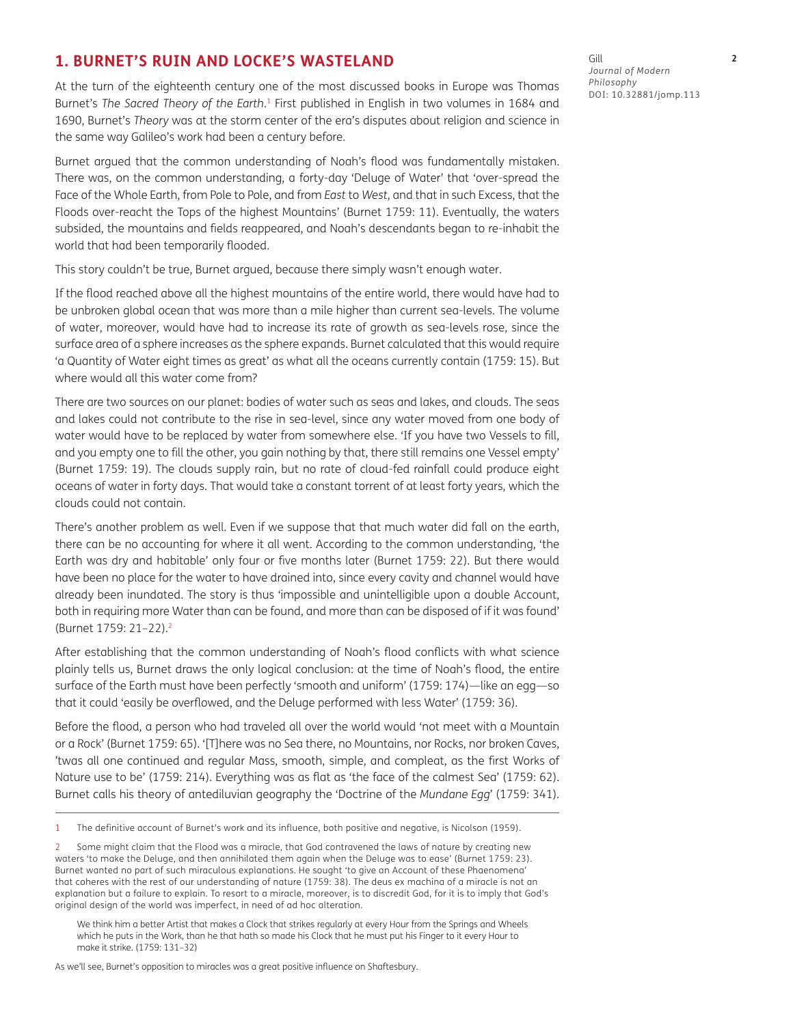#### **1. BURNET'S RUIN AND LOCKE'S WASTELAND**

At the turn of the eighteenth century one of the most discussed books in Europe was Thomas Burnet's *The Sacred Theory of the Earth*.<sup>1</sup> First published in English in two volumes in 1684 and 1690, Burnet's *Theory* was at the storm center of the era's disputes about religion and science in the same way Galileo's work had been a century before.

Burnet argued that the common understanding of Noah's flood was fundamentally mistaken. There was, on the common understanding, a forty-day 'Deluge of Water' that 'over-spread the Face of the Whole Earth, from Pole to Pole, and from *East* to *West*, and that in such Excess, that the Floods over-reacht the Tops of the highest Mountains' (Burnet 1759: 11). Eventually, the waters subsided, the mountains and fields reappeared, and Noah's descendants began to re-inhabit the world that had been temporarily flooded.

This story couldn't be true, Burnet argued, because there simply wasn't enough water.

If the flood reached above all the highest mountains of the entire world, there would have had to be unbroken global ocean that was more than a mile higher than current sea-levels. The volume of water, moreover, would have had to increase its rate of growth as sea-levels rose, since the surface area of a sphere increases as the sphere expands. Burnet calculated that this would require 'a Quantity of Water eight times as great' as what all the oceans currently contain (1759: 15). But where would all this water come from?

There are two sources on our planet: bodies of water such as seas and lakes, and clouds. The seas and lakes could not contribute to the rise in sea-level, since any water moved from one body of water would have to be replaced by water from somewhere else. 'If you have two Vessels to fill, and you empty one to fill the other, you gain nothing by that, there still remains one Vessel empty' (Burnet 1759: 19). The clouds supply rain, but no rate of cloud-fed rainfall could produce eight oceans of water in forty days. That would take a constant torrent of at least forty years, which the clouds could not contain.

There's another problem as well. Even if we suppose that that much water did fall on the earth, there can be no accounting for where it all went. According to the common understanding, 'the Earth was dry and habitable' only four or five months later (Burnet 1759: 22). But there would have been no place for the water to have drained into, since every cavity and channel would have already been inundated. The story is thus 'impossible and unintelligible upon a double Account, both in requiring more Water than can be found, and more than can be disposed of if it was found' (Burnet 1759: 21–22).2

After establishing that the common understanding of Noah's flood conflicts with what science plainly tells us, Burnet draws the only logical conclusion: at the time of Noah's flood, the entire surface of the Earth must have been perfectly 'smooth and uniform' (1759: 174)—like an egg—so that it could 'easily be overflowed, and the Deluge performed with less Water' (1759: 36).

Before the flood, a person who had traveled all over the world would 'not meet with a Mountain or a Rock' (Burnet 1759: 65). '[T]here was no Sea there, no Mountains, nor Rocks, nor broken Caves, 'twas all one continued and regular Mass, smooth, simple, and compleat, as the first Works of Nature use to be' (1759: 214). Everything was as flat as 'the face of the calmest Sea' (1759: 62). Burnet calls his theory of antediluvian geography the 'Doctrine of the *Mundane Egg*' (1759: 341).

1 The definitive account of Burnet's work and its influence, both positive and negative, is Nicolson (1959).

We think him a better Artist that makes a Clock that strikes regularly at every Hour from the Springs and Wheels which he puts in the Work, than he that hath so made his Clock that he must put his Finger to it every Hour to make it strike. (1759: 131–32)

As we'll see, Burnet's opposition to miracles was a great positive influence on Shaftesbury.

Gill **2** *Journal of Modern Philosophy* DOI: [10.32881/jomp.113](http://10.32881/jomp.113)

<sup>2</sup> Some might claim that the Flood was a miracle, that God contravened the laws of nature by creating new waters 'to make the Deluge, and then annihilated them again when the Deluge was to ease' (Burnet 1759: 23). Burnet wanted no part of such miraculous explanations. He sought 'to give an Account of these Phaenomena' that coheres with the rest of our understanding of nature (1759: 38). The deus ex machina of a miracle is not an explanation but a failure to explain. To resort to a miracle, moreover, is to discredit God, for it is to imply that God's original design of the world was imperfect, in need of ad hoc alteration.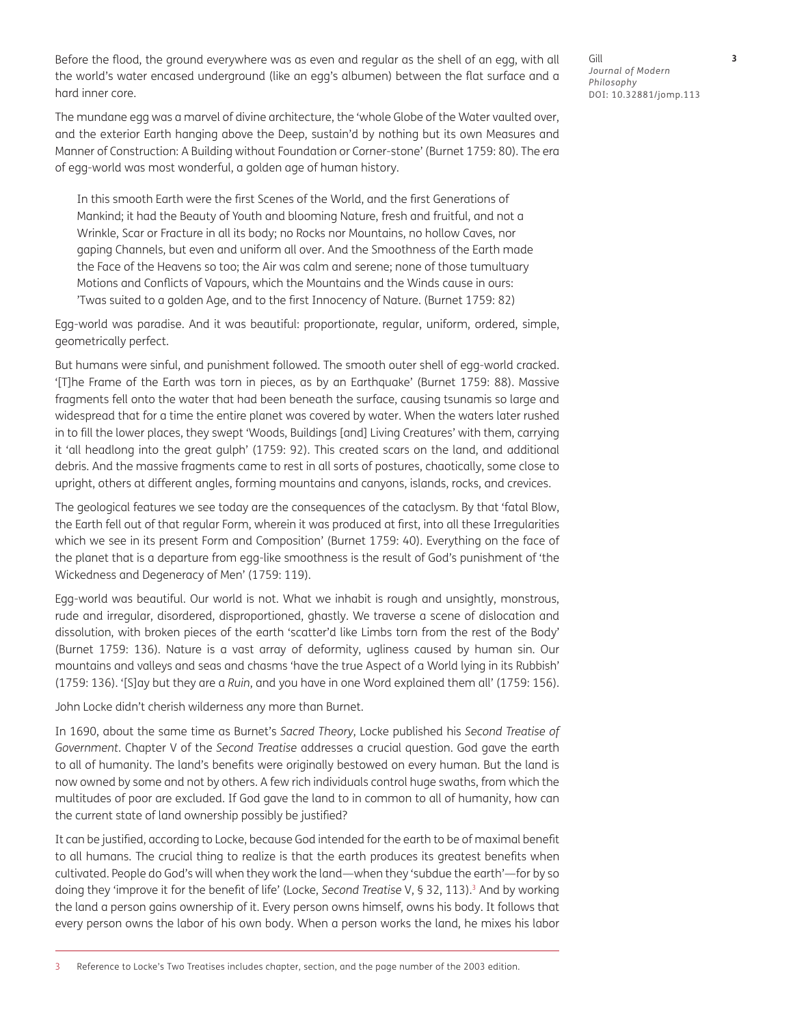Before the flood, the ground everywhere was as even and regular as the shell of an egg, with all the world's water encased underground (like an egg's albumen) between the flat surface and a hard inner core.

The mundane egg was a marvel of divine architecture, the 'whole Globe of the Water vaulted over, and the exterior Earth hanging above the Deep, sustain'd by nothing but its own Measures and Manner of Construction: A Building without Foundation or Corner-stone' (Burnet 1759: 80). The era of egg-world was most wonderful, a golden age of human history.

In this smooth Earth were the first Scenes of the World, and the first Generations of Mankind; it had the Beauty of Youth and blooming Nature, fresh and fruitful, and not a Wrinkle, Scar or Fracture in all its body; no Rocks nor Mountains, no hollow Caves, nor gaping Channels, but even and uniform all over. And the Smoothness of the Earth made the Face of the Heavens so too; the Air was calm and serene; none of those tumultuary Motions and Conflicts of Vapours, which the Mountains and the Winds cause in ours: 'Twas suited to a golden Age, and to the first Innocency of Nature. (Burnet 1759: 82)

Egg-world was paradise. And it was beautiful: proportionate, regular, uniform, ordered, simple, geometrically perfect.

But humans were sinful, and punishment followed. The smooth outer shell of egg-world cracked. '[T]he Frame of the Earth was torn in pieces, as by an Earthquake' (Burnet 1759: 88). Massive fragments fell onto the water that had been beneath the surface, causing tsunamis so large and widespread that for a time the entire planet was covered by water. When the waters later rushed in to fill the lower places, they swept 'Woods, Buildings [and] Living Creatures' with them, carrying it 'all headlong into the great gulph' (1759: 92). This created scars on the land, and additional debris. And the massive fragments came to rest in all sorts of postures, chaotically, some close to upright, others at different angles, forming mountains and canyons, islands, rocks, and crevices.

The geological features we see today are the consequences of the cataclysm. By that 'fatal Blow, the Earth fell out of that regular Form, wherein it was produced at first, into all these Irregularities which we see in its present Form and Composition' (Burnet 1759: 40). Everything on the face of the planet that is a departure from egg-like smoothness is the result of God's punishment of 'the Wickedness and Degeneracy of Men' (1759: 119).

Egg-world was beautiful. Our world is not. What we inhabit is rough and unsightly, monstrous, rude and irregular, disordered, disproportioned, ghastly. We traverse a scene of dislocation and dissolution, with broken pieces of the earth 'scatter'd like Limbs torn from the rest of the Body' (Burnet 1759: 136). Nature is a vast array of deformity, ugliness caused by human sin. Our mountains and valleys and seas and chasms 'have the true Aspect of a World lying in its Rubbish' (1759: 136). '[S]ay but they are a *Ruin*, and you have in one Word explained them all' (1759: 156).

John Locke didn't cherish wilderness any more than Burnet.

In 1690, about the same time as Burnet's *Sacred Theory*, Locke published his *Second Treatise of Government*. Chapter V of the *Second Treatise* addresses a crucial question. God gave the earth to all of humanity. The land's benefits were originally bestowed on every human. But the land is now owned by some and not by others. A few rich individuals control huge swaths, from which the multitudes of poor are excluded. If God gave the land to in common to all of humanity, how can the current state of land ownership possibly be justified?

It can be justified, according to Locke, because God intended for the earth to be of maximal benefit to all humans. The crucial thing to realize is that the earth produces its greatest benefits when cultivated. People do God's will when they work the land—when they 'subdue the earth'—for by so doing they 'improve it for the benefit of life' (Locke, *Second Treatise* V, § 32, 113).<sup>3</sup> And by working the land a person gains ownership of it. Every person owns himself, owns his body. It follows that every person owns the labor of his own body. When a person works the land, he mixes his labor

Gill **3** *Journal of Modern Philosophy* DOI: 10.32881/jomp.113

3 Reference to Locke's Two Treatises includes chapter, section, and the page number of the 2003 edition.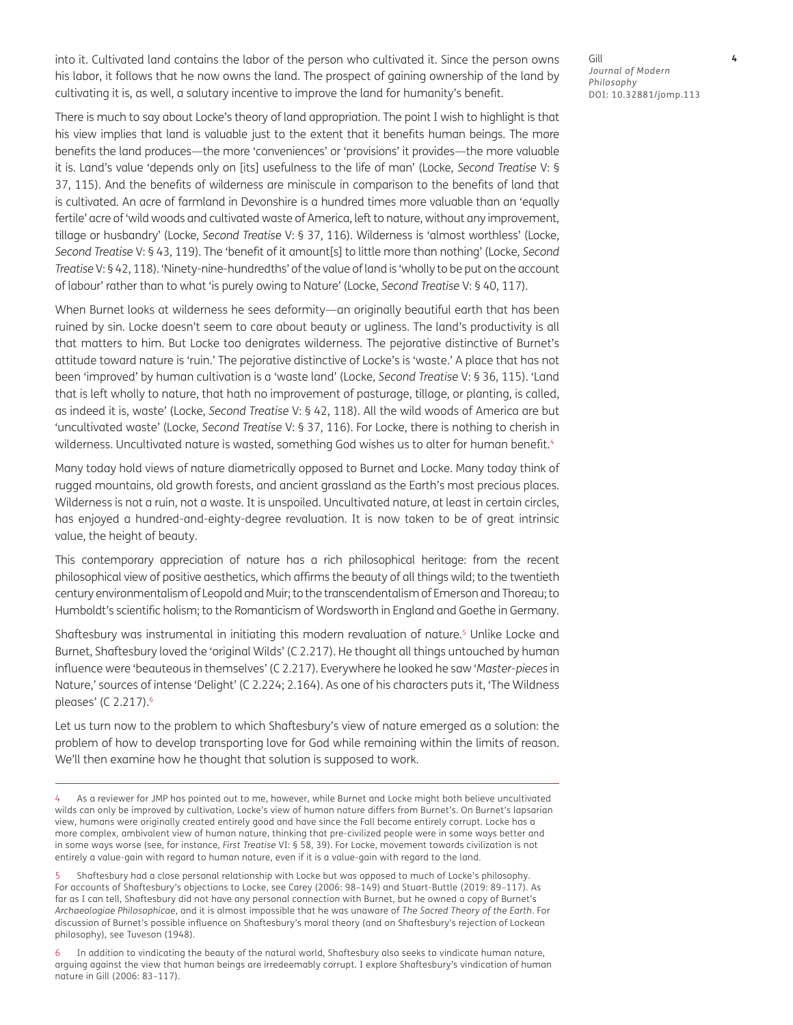into it. Cultivated land contains the labor of the person who cultivated it. Since the person owns his labor, it follows that he now owns the land. The prospect of gaining ownership of the land by cultivating it is, as well, a salutary incentive to improve the land for humanity's benefit.

Gill **4** *Journal of Modern Philosophy* DOI: 10.32881/jomp.113

There is much to say about Locke's theory of land appropriation. The point I wish to highlight is that his view implies that land is valuable just to the extent that it benefits human beings. The more benefits the land produces—the more 'conveniences' or 'provisions' it provides—the more valuable it is. Land's value 'depends only on [its] usefulness to the life of man' (Locke, *Second Treatise* V: § 37, 115). And the benefits of wilderness are miniscule in comparison to the benefits of land that is cultivated. An acre of farmland in Devonshire is a hundred times more valuable than an 'equally fertile' acre of 'wild woods and cultivated waste of America, left to nature, without any improvement, tillage or husbandry' (Locke, *Second Treatise* V: § 37, 116). Wilderness is 'almost worthless' (Locke, *Second Treatise* V: § 43, 119). The 'benefit of it amount[s] to little more than nothing' (Locke, *Second Treatise* V: § 42, 118). 'Ninety-nine-hundredths' of the value of land is 'wholly to be put on the account of labour' rather than to what 'is purely owing to Nature' (Locke, *Second Treatise* V: § 40, 117).

When Burnet looks at wilderness he sees deformity—an originally beautiful earth that has been ruined by sin. Locke doesn't seem to care about beauty or ugliness. The land's productivity is all that matters to him. But Locke too denigrates wilderness. The pejorative distinctive of Burnet's attitude toward nature is 'ruin.' The pejorative distinctive of Locke's is 'waste.' A place that has not been 'improved' by human cultivation is a 'waste land' (Locke, *Second Treatise* V: § 36, 115). 'Land that is left wholly to nature, that hath no improvement of pasturage, tillage, or planting, is called, as indeed it is, waste' (Locke, *Second Treatise* V: § 42, 118). All the wild woods of America are but 'uncultivated waste' (Locke, *Second Treatise* V: § 37, 116). For Locke, there is nothing to cherish in wilderness. Uncultivated nature is wasted, something God wishes us to alter for human benefit.<sup>4</sup>

Many today hold views of nature diametrically opposed to Burnet and Locke. Many today think of rugged mountains, old growth forests, and ancient grassland as the Earth's most precious places. Wilderness is not a ruin, not a waste. It is unspoiled. Uncultivated nature, at least in certain circles, has enjoyed a hundred-and-eighty-degree revaluation. It is now taken to be of great intrinsic value, the height of beauty.

This contemporary appreciation of nature has a rich philosophical heritage: from the recent philosophical view of positive aesthetics, which affirms the beauty of all things wild; to the twentieth century environmentalism of Leopold and Muir; to the transcendentalism of Emerson and Thoreau; to Humboldt's scientific holism; to the Romanticism of Wordsworth in England and Goethe in Germany.

Shaftesbury was instrumental in initiating this modern revaluation of nature.<sup>5</sup> Unlike Locke and Burnet, Shaftesbury loved the 'original Wilds' (C 2.217). He thought all things untouched by human influence were 'beauteous in themselves' (C 2.217). Everywhere he looked he saw '*Master-pieces* in Nature,' sources of intense 'Delight' (C 2.224; 2.164). As one of his characters puts it, 'The Wildness pleases' (C 2.217).6

Let us turn now to the problem to which Shaftesbury's view of nature emerged as a solution: the problem of how to develop transporting love for God while remaining within the limits of reason. We'll then examine how he thought that solution is supposed to work.

As a reviewer for JMP has pointed out to me, however, while Burnet and Locke might both believe uncultivated wilds can only be improved by cultivation, Locke's view of human nature differs from Burnet's. On Burnet's lapsarian view, humans were originally created entirely good and have since the Fall become entirely corrupt. Locke has a more complex, ambivalent view of human nature, thinking that pre-civilized people were in some ways better and in some ways worse (see, for instance, *First Treatise* VI: § 58, 39). For Locke, movement towards civilization is not entirely a value-gain with regard to human nature, even if it is a value-gain with regard to the land.

<sup>5</sup> Shaftesbury had a close personal relationship with Locke but was opposed to much of Locke's philosophy. For accounts of Shaftesbury's objections to Locke, see Carey (2006: 98–149) and Stuart-Buttle (2019: 89–117). As far as I can tell, Shaftesbury did not have any personal connection with Burnet, but he owned a copy of Burnet's *Archaeologiae Philosophicae*, and it is almost impossible that he was unaware of *The Sacred Theory of the Earth*. For discussion of Burnet's possible influence on Shaftesbury's moral theory (and on Shaftesbury's rejection of Lockean philosophy), see Tuveson (1948).

<sup>6</sup> In addition to vindicating the beauty of the natural world, Shaftesbury also seeks to vindicate human nature, arguing against the view that human beings are irredeemably corrupt. I explore Shaftesbury's vindication of human nature in Gill (2006: 83–117).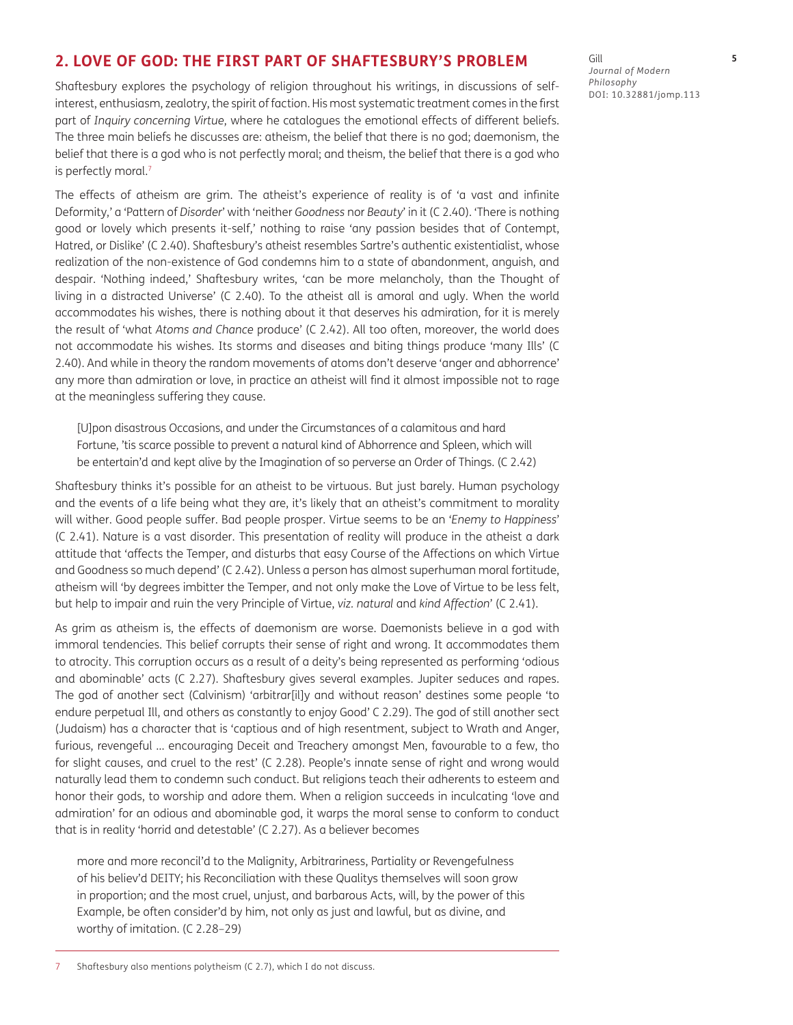## **2. LOVE OF GOD: THE FIRST PART OF SHAFTESBURY'S PROBLEM**

Shaftesbury explores the psychology of religion throughout his writings, in discussions of selfinterest, enthusiasm, zealotry, the spirit of faction. His most systematic treatment comes in the first part of *Inquiry concerning Virtue*, where he catalogues the emotional effects of different beliefs. The three main beliefs he discusses are: atheism, the belief that there is no god; daemonism, the belief that there is a god who is not perfectly moral; and theism, the belief that there is a god who is perfectly moral.<sup>7</sup>

The effects of atheism are grim. The atheist's experience of reality is of 'a vast and infinite Deformity,' a 'Pattern of *Disorder*' with 'neither *Goodness* nor *Beauty*' in it (C 2.40). 'There is nothing good or lovely which presents it-self,' nothing to raise 'any passion besides that of Contempt, Hatred, or Dislike' (C 2.40). Shaftesbury's atheist resembles Sartre's authentic existentialist, whose realization of the non-existence of God condemns him to a state of abandonment, anguish, and despair. 'Nothing indeed,' Shaftesbury writes, 'can be more melancholy, than the Thought of living in a distracted Universe' (C 2.40). To the atheist all is amoral and ugly. When the world accommodates his wishes, there is nothing about it that deserves his admiration, for it is merely the result of 'what *Atoms and Chance* produce' (C 2.42). All too often, moreover, the world does not accommodate his wishes. Its storms and diseases and biting things produce 'many Ills' (C 2.40). And while in theory the random movements of atoms don't deserve 'anger and abhorrence' any more than admiration or love, in practice an atheist will find it almost impossible not to rage at the meaningless suffering they cause.

[U]pon disastrous Occasions, and under the Circumstances of a calamitous and hard Fortune, 'tis scarce possible to prevent a natural kind of Abhorrence and Spleen, which will be entertain'd and kept alive by the Imagination of so perverse an Order of Things. (C 2.42)

Shaftesbury thinks it's possible for an atheist to be virtuous. But just barely. Human psychology and the events of a life being what they are, it's likely that an atheist's commitment to morality will wither. Good people suffer. Bad people prosper. Virtue seems to be an '*Enemy to Happiness*' (C 2.41). Nature is a vast disorder. This presentation of reality will produce in the atheist a dark attitude that 'affects the Temper, and disturbs that easy Course of the Affections on which Virtue and Goodness so much depend' (C 2.42). Unless a person has almost superhuman moral fortitude, atheism will 'by degrees imbitter the Temper, and not only make the Love of Virtue to be less felt, but help to impair and ruin the very Principle of Virtue, *viz. natural* and *kind Affection*' (C 2.41).

As grim as atheism is, the effects of daemonism are worse. Daemonists believe in a god with immoral tendencies. This belief corrupts their sense of right and wrong. It accommodates them to atrocity. This corruption occurs as a result of a deity's being represented as performing 'odious and abominable' acts (C 2.27). Shaftesbury gives several examples. Jupiter seduces and rapes. The god of another sect (Calvinism) 'arbitrar[il]y and without reason' destines some people 'to endure perpetual Ill, and others as constantly to enjoy Good' C 2.29). The god of still another sect (Judaism) has a character that is 'captious and of high resentment, subject to Wrath and Anger, furious, revengeful … encouraging Deceit and Treachery amongst Men, favourable to a few, tho for slight causes, and cruel to the rest' (C 2.28). People's innate sense of right and wrong would naturally lead them to condemn such conduct. But religions teach their adherents to esteem and honor their gods, to worship and adore them. When a religion succeeds in inculcating 'love and admiration' for an odious and abominable god, it warps the moral sense to conform to conduct that is in reality 'horrid and detestable' (C 2.27). As a believer becomes

more and more reconcil'd to the Malignity, Arbitrariness, Partiality or Revengefulness of his believ'd DEITY; his Reconciliation with these Qualitys themselves will soon grow in proportion; and the most cruel, unjust, and barbarous Acts, will, by the power of this Example, be often consider'd by him, not only as just and lawful, but as divine, and worthy of imitation. (C 2.28–29)

Gill **5** *Journal of Modern Philosophy* DOI: 10.32881/jomp.113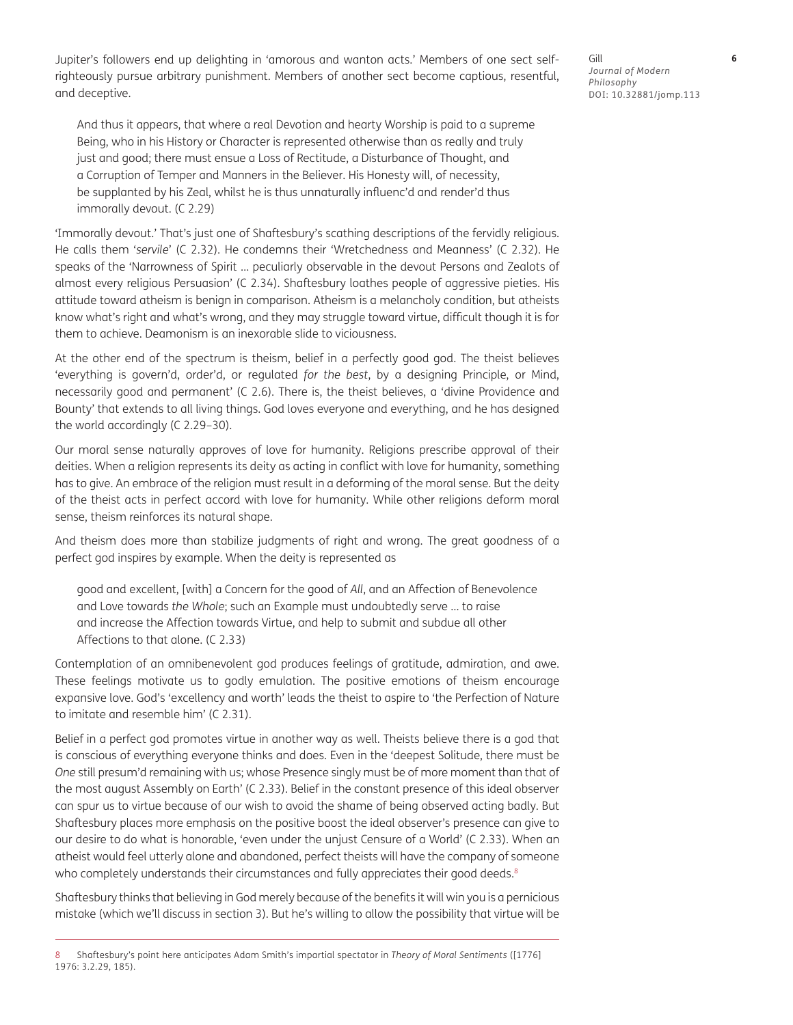Jupiter's followers end up delighting in 'amorous and wanton acts.' Members of one sect selfrighteously pursue arbitrary punishment. Members of another sect become captious, resentful, and deceptive.

And thus it appears, that where a real Devotion and hearty Worship is paid to a supreme Being, who in his History or Character is represented otherwise than as really and truly just and good; there must ensue a Loss of Rectitude, a Disturbance of Thought, and a Corruption of Temper and Manners in the Believer. His Honesty will, of necessity, be supplanted by his Zeal, whilst he is thus unnaturally influenc'd and render'd thus immorally devout. (C 2.29)

'Immorally devout.' That's just one of Shaftesbury's scathing descriptions of the fervidly religious. He calls them '*servile*' (C 2.32). He condemns their 'Wretchedness and Meanness' (C 2.32). He speaks of the 'Narrowness of Spirit … peculiarly observable in the devout Persons and Zealots of almost every religious Persuasion' (C 2.34). Shaftesbury loathes people of aggressive pieties. His attitude toward atheism is benign in comparison. Atheism is a melancholy condition, but atheists know what's right and what's wrong, and they may struggle toward virtue, difficult though it is for them to achieve. Deamonism is an inexorable slide to viciousness.

At the other end of the spectrum is theism, belief in a perfectly good god. The theist believes 'everything is govern'd, order'd, or regulated *for the best*, by a designing Principle, or Mind, necessarily good and permanent' (C 2.6). There is, the theist believes, a 'divine Providence and Bounty' that extends to all living things. God loves everyone and everything, and he has designed the world accordingly (C 2.29–30).

Our moral sense naturally approves of love for humanity. Religions prescribe approval of their deities. When a religion represents its deity as acting in conflict with love for humanity, something has to give. An embrace of the religion must result in a deforming of the moral sense. But the deity of the theist acts in perfect accord with love for humanity. While other religions deform moral sense, theism reinforces its natural shape.

And theism does more than stabilize judgments of right and wrong. The great goodness of a perfect god inspires by example. When the deity is represented as

good and excellent, [with] a Concern for the good of *All*, and an Affection of Benevolence and Love towards *the Whole*; such an Example must undoubtedly serve … to raise and increase the Affection towards Virtue, and help to submit and subdue all other Affections to that alone. (C 2.33)

Contemplation of an omnibenevolent god produces feelings of gratitude, admiration, and awe. These feelings motivate us to godly emulation. The positive emotions of theism encourage expansive love. God's 'excellency and worth' leads the theist to aspire to 'the Perfection of Nature to imitate and resemble him' (C 2.31).

Belief in a perfect god promotes virtue in another way as well. Theists believe there is a god that is conscious of everything everyone thinks and does. Even in the 'deepest Solitude, there must be *One* still presum'd remaining with us; whose Presence singly must be of more moment than that of the most august Assembly on Earth' (C 2.33). Belief in the constant presence of this ideal observer can spur us to virtue because of our wish to avoid the shame of being observed acting badly. But Shaftesbury places more emphasis on the positive boost the ideal observer's presence can give to our desire to do what is honorable, 'even under the unjust Censure of a World' (C 2.33). When an atheist would feel utterly alone and abandoned, perfect theists will have the company of someone who completely understands their circumstances and fully appreciates their good deeds.<sup>8</sup>

Shaftesbury thinks that believing in God merely because of the benefits it will win you is a pernicious mistake (which we'll discuss in section 3). But he's willing to allow the possibility that virtue will be

Gill **6** *Journal of Modern Philosophy* DOI: 10.32881/jomp.113

<sup>8</sup> Shaftesbury's point here anticipates Adam Smith's impartial spectator in *Theory of Moral Sentiments* ([1776] 1976: 3.2.29, 185).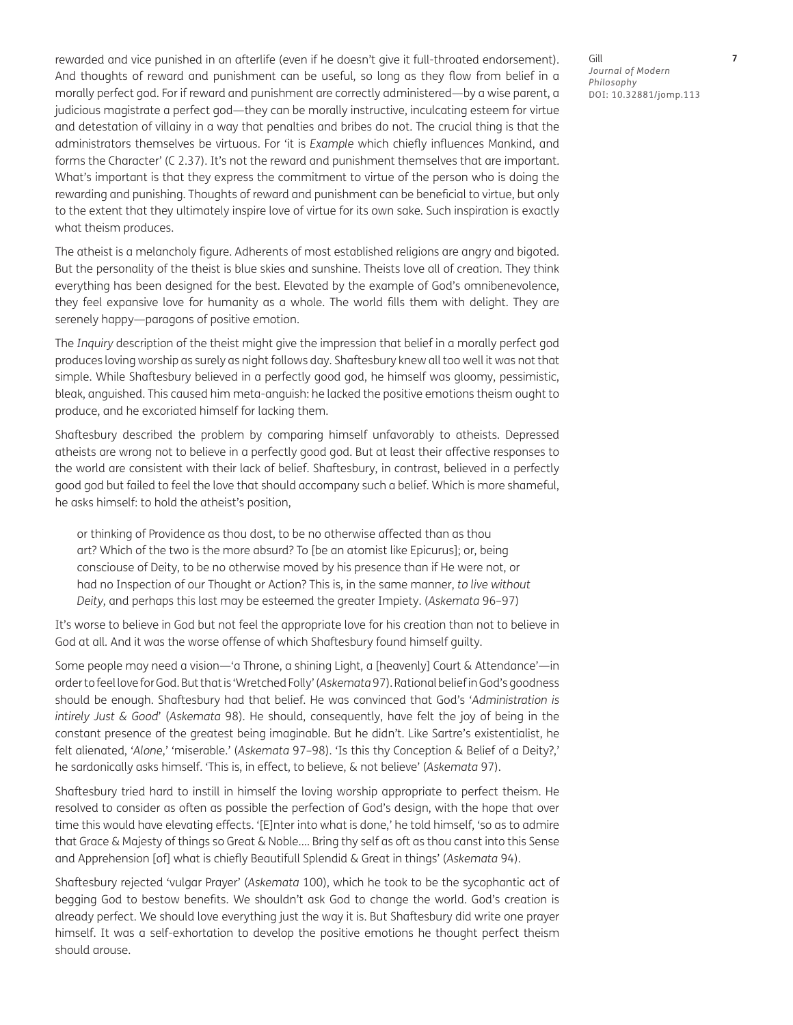rewarded and vice punished in an afterlife (even if he doesn't give it full-throated endorsement). And thoughts of reward and punishment can be useful, so long as they flow from belief in a morally perfect god. For if reward and punishment are correctly administered—by a wise parent, a judicious magistrate a perfect god—they can be morally instructive, inculcating esteem for virtue and detestation of villainy in a way that penalties and bribes do not. The crucial thing is that the administrators themselves be virtuous. For 'it is *Example* which chiefly influences Mankind, and forms the Character' (C 2.37). It's not the reward and punishment themselves that are important. What's important is that they express the commitment to virtue of the person who is doing the rewarding and punishing. Thoughts of reward and punishment can be beneficial to virtue, but only to the extent that they ultimately inspire love of virtue for its own sake. Such inspiration is exactly what theism produces.

The atheist is a melancholy figure. Adherents of most established religions are angry and bigoted. But the personality of the theist is blue skies and sunshine. Theists love all of creation. They think everything has been designed for the best. Elevated by the example of God's omnibenevolence, they feel expansive love for humanity as a whole. The world fills them with delight. They are serenely happy—paragons of positive emotion.

The *Inquiry* description of the theist might give the impression that belief in a morally perfect god produces loving worship as surely as night follows day. Shaftesbury knew all too well it was not that simple. While Shaftesbury believed in a perfectly good god, he himself was gloomy, pessimistic, bleak, anguished. This caused him meta-anguish: he lacked the positive emotions theism ought to produce, and he excoriated himself for lacking them.

Shaftesbury described the problem by comparing himself unfavorably to atheists. Depressed atheists are wrong not to believe in a perfectly good god. But at least their affective responses to the world are consistent with their lack of belief. Shaftesbury, in contrast, believed in a perfectly good god but failed to feel the love that should accompany such a belief. Which is more shameful, he asks himself: to hold the atheist's position,

or thinking of Providence as thou dost, to be no otherwise affected than as thou art? Which of the two is the more absurd? To [be an atomist like Epicurus]; or, being consciouse of Deity, to be no otherwise moved by his presence than if He were not, or had no Inspection of our Thought or Action? This is, in the same manner, *to live without Deity*, and perhaps this last may be esteemed the greater Impiety. (*Askemata* 96–97)

It's worse to believe in God but not feel the appropriate love for his creation than not to believe in God at all. And it was the worse offense of which Shaftesbury found himself guilty.

Some people may need a vision—'a Throne, a shining Light, a [heavenly] Court & Attendance'—in order to feel love for God. But that is 'Wretched Folly' (*Askemata* 97). Rational belief in God's goodness should be enough. Shaftesbury had that belief. He was convinced that God's '*Administration is intirely Just & Good*' (*Askemata* 98). He should, consequently, have felt the joy of being in the constant presence of the greatest being imaginable. But he didn't. Like Sartre's existentialist, he felt alienated, '*Alone*,' 'miserable.' (*Askemata* 97–98). 'Is this thy Conception & Belief of a Deity?,' he sardonically asks himself. 'This is, in effect, to believe, & not believe' (*Askemata* 97).

Shaftesbury tried hard to instill in himself the loving worship appropriate to perfect theism. He resolved to consider as often as possible the perfection of God's design, with the hope that over time this would have elevating effects. '[E]nter into what is done,' he told himself, 'so as to admire that Grace & Majesty of things so Great & Noble.… Bring thy self as oft as thou canst into this Sense and Apprehension [of] what is chiefly Beautifull Splendid & Great in things' (*Askemata* 94).

Shaftesbury rejected 'vulgar Prayer' (*Askemata* 100), which he took to be the sycophantic act of begging God to bestow benefits. We shouldn't ask God to change the world. God's creation is already perfect. We should love everything just the way it is. But Shaftesbury did write one prayer himself. It was a self-exhortation to develop the positive emotions he thought perfect theism should arouse.

Gill **7** *Journal of Modern Philosophy* DOI: 10.32881/jomp.113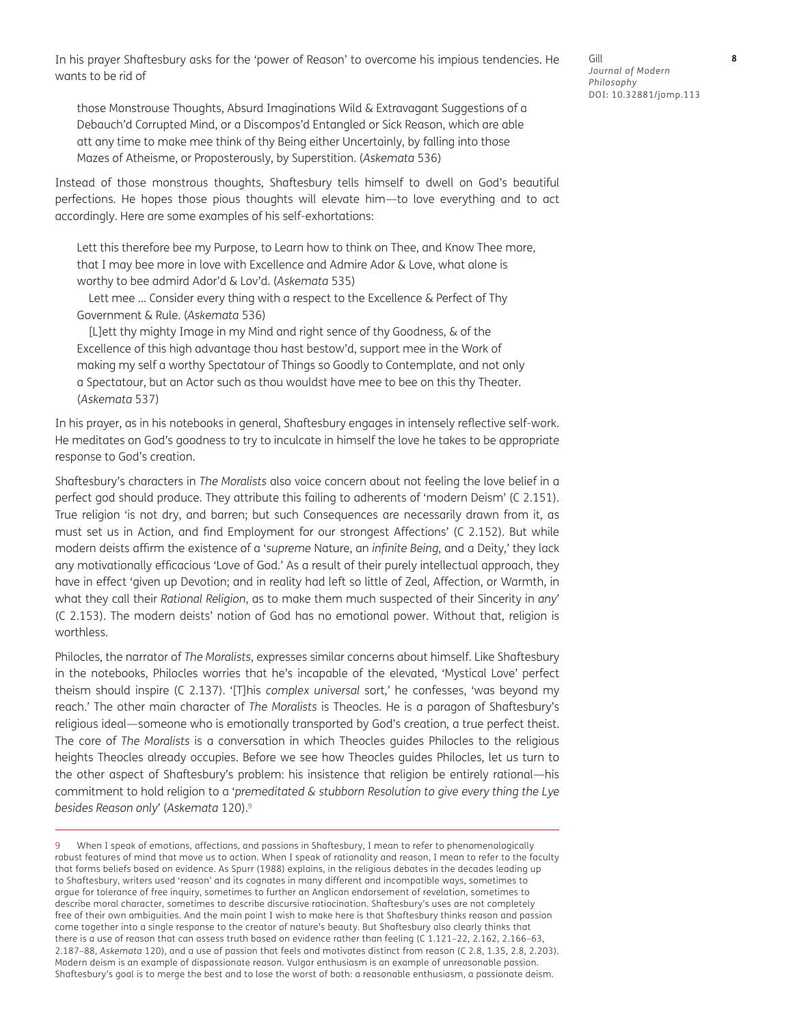In his prayer Shaftesbury asks for the 'power of Reason' to overcome his impious tendencies. He wants to be rid of

those Monstrouse Thoughts, Absurd Imaginations Wild & Extravagant Suggestions of a Debauch'd Corrupted Mind, or a Discompos'd Entangled or Sick Reason, which are able att any time to make mee think of thy Being either Uncertainly, by falling into those Mazes of Atheisme, or Proposterously, by Superstition. (*Askemata* 536)

Instead of those monstrous thoughts, Shaftesbury tells himself to dwell on God's beautiful perfections. He hopes those pious thoughts will elevate him—to love everything and to act accordingly. Here are some examples of his self-exhortations:

Lett this therefore bee my Purpose, to Learn how to think on Thee, and Know Thee more, that I may bee more in love with Excellence and Admire Ador & Love, what alone is worthy to bee admird Ador'd & Lov'd. (*Askemata* 535)

Lett mee … Consider every thing with a respect to the Excellence & Perfect of Thy Government & Rule. (*Askemata* 536)

[L]ett thy mighty Image in my Mind and right sence of thy Goodness, & of the Excellence of this high advantage thou hast bestow'd, support mee in the Work of making my self a worthy Spectatour of Things so Goodly to Contemplate, and not only a Spectatour, but an Actor such as thou wouldst have mee to bee on this thy Theater. (*Askemata* 537)

In his prayer, as in his notebooks in general, Shaftesbury engages in intensely reflective self-work. He meditates on God's goodness to try to inculcate in himself the love he takes to be appropriate response to God's creation.

Shaftesbury's characters in *The Moralists* also voice concern about not feeling the love belief in a perfect god should produce. They attribute this failing to adherents of 'modern Deism' (C 2.151). True religion 'is not dry, and barren; but such Consequences are necessarily drawn from it, as must set us in Action, and find Employment for our strongest Affections' (C 2.152). But while modern deists affirm the existence of a '*supreme* Nature, an *infinite Being*, and a Deity,' they lack any motivationally efficacious 'Love of God.' As a result of their purely intellectual approach, they have in effect 'given up Devotion; and in reality had left so little of Zeal, Affection, or Warmth, in what they call their *Rational Religion*, as to make them much suspected of their Sincerity in *any*' (C 2.153). The modern deists' notion of God has no emotional power. Without that, religion is worthless.

Philocles, the narrator of *The Moralists*, expresses similar concerns about himself. Like Shaftesbury in the notebooks, Philocles worries that he's incapable of the elevated, 'Mystical Love' perfect theism should inspire (C 2.137). '[T]his *complex universal* sort,' he confesses, 'was beyond my reach.' The other main character of *The Moralists* is Theocles. He is a paragon of Shaftesbury's religious ideal—someone who is emotionally transported by God's creation, a true perfect theist. The core of *The Moralists* is a conversation in which Theocles guides Philocles to the religious heights Theocles already occupies. Before we see how Theocles guides Philocles, let us turn to the other aspect of Shaftesbury's problem: his insistence that religion be entirely rational—his commitment to hold religion to a '*premeditated & stubborn Resolution to give every thing the Lye besides Reason only*' (*Askemata* 120).9

When I speak of emotions, affections, and passions in Shaftesbury, I mean to refer to phenomenologically robust features of mind that move us to action. When I speak of rationality and reason, I mean to refer to the faculty that forms beliefs based on evidence. As Spurr (1988) explains, in the religious debates in the decades leading up to Shaftesbury, writers used 'reason' and its cognates in many different and incompatible ways, sometimes to argue for tolerance of free inquiry, sometimes to further an Anglican endorsement of revelation, sometimes to describe moral character, sometimes to describe discursive ratiocination. Shaftesbury's uses are not completely free of their own ambiguities. And the main point I wish to make here is that Shaftesbury thinks reason and passion come together into a single response to the creator of nature's beauty. But Shaftesbury also clearly thinks that there is a use of reason that can assess truth based on evidence rather than feeling (C 1.121–22, 2.162, 2.166–63, 2.187–88, *Askemata* 120), and a use of passion that feels and motivates distinct from reason (C 2.8, 1.35, 2.8, 2.203). Modern deism is an example of dispassionate reason. Vulgar enthusiasm is an example of unreasonable passion. Shaftesbury's goal is to merge the best and to lose the worst of both: a reasonable enthusiasm, a passionate deism.

Gill **8** *Journal of Modern Philosophy* DOI: 10.32881/jomp.113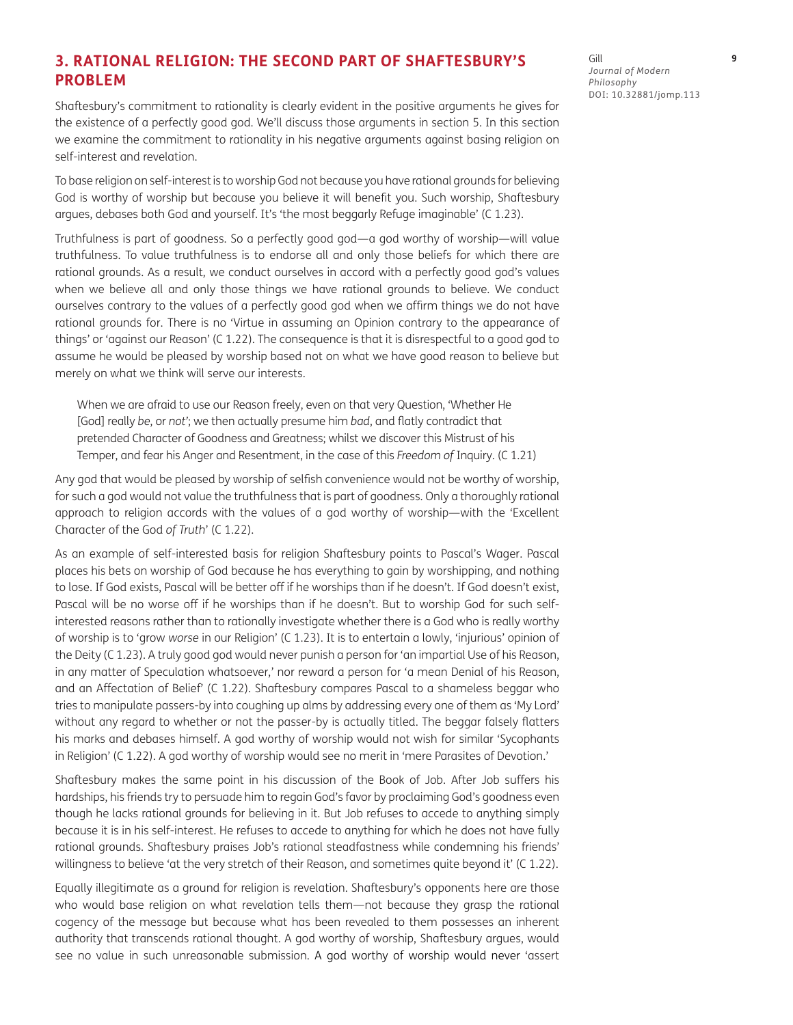### **3. RATIONAL RELIGION: THE SECOND PART OF SHAFTESBURY'S PROBLEM**

Shaftesbury's commitment to rationality is clearly evident in the positive arguments he gives for the existence of a perfectly good god. We'll discuss those arguments in section 5. In this section we examine the commitment to rationality in his negative arguments against basing religion on self-interest and revelation.

To base religion on self-interest is to worship God not because you have rational grounds for believing God is worthy of worship but because you believe it will benefit you. Such worship, Shaftesbury argues, debases both God and yourself. It's 'the most beggarly Refuge imaginable' (C 1.23).

Truthfulness is part of goodness. So a perfectly good god—a god worthy of worship—will value truthfulness. To value truthfulness is to endorse all and only those beliefs for which there are rational grounds. As a result, we conduct ourselves in accord with a perfectly good god's values when we believe all and only those things we have rational grounds to believe. We conduct ourselves contrary to the values of a perfectly good god when we affirm things we do not have rational grounds for. There is no 'Virtue in assuming an Opinion contrary to the appearance of things' or 'against our Reason' (C 1.22). The consequence is that it is disrespectful to a good god to assume he would be pleased by worship based not on what we have good reason to believe but merely on what we think will serve our interests.

When we are afraid to use our Reason freely, even on that very Question, 'Whether He [God] really *be*, or *not'*; we then actually presume him *bad*, and flatly contradict that pretended Character of Goodness and Greatness; whilst we discover this Mistrust of his Temper, and fear his Anger and Resentment, in the case of this *Freedom of* Inquiry. (C 1.21)

Any god that would be pleased by worship of selfish convenience would not be worthy of worship, for such a god would not value the truthfulness that is part of goodness. Only a thoroughly rational approach to religion accords with the values of a god worthy of worship—with the 'Excellent Character of the God *of Truth*' (C 1.22).

As an example of self-interested basis for religion Shaftesbury points to Pascal's Wager. Pascal places his bets on worship of God because he has everything to gain by worshipping, and nothing to lose. If God exists, Pascal will be better off if he worships than if he doesn't. If God doesn't exist, Pascal will be no worse off if he worships than if he doesn't. But to worship God for such selfinterested reasons rather than to rationally investigate whether there is a God who is really worthy of worship is to 'grow *worse* in our Religion' (C 1.23). It is to entertain a lowly, 'injurious' opinion of the Deity (C 1.23). A truly good god would never punish a person for 'an impartial Use of his Reason, in any matter of Speculation whatsoever,' nor reward a person for 'a mean Denial of his Reason, and an Affectation of Belief' (C 1.22). Shaftesbury compares Pascal to a shameless beggar who tries to manipulate passers-by into coughing up alms by addressing every one of them as 'My Lord' without any regard to whether or not the passer-by is actually titled. The beggar falsely flatters his marks and debases himself. A god worthy of worship would not wish for similar 'Sycophants in Religion' (C 1.22). A god worthy of worship would see no merit in 'mere Parasites of Devotion.'

Shaftesbury makes the same point in his discussion of the Book of Job. After Job suffers his hardships, his friends try to persuade him to regain God's favor by proclaiming God's goodness even though he lacks rational grounds for believing in it. But Job refuses to accede to anything simply because it is in his self-interest. He refuses to accede to anything for which he does not have fully rational grounds. Shaftesbury praises Job's rational steadfastness while condemning his friends' willingness to believe 'at the very stretch of their Reason, and sometimes quite beyond it' (C 1.22).

Equally illegitimate as a ground for religion is revelation. Shaftesbury's opponents here are those who would base religion on what revelation tells them—not because they grasp the rational cogency of the message but because what has been revealed to them possesses an inherent authority that transcends rational thought. A god worthy of worship, Shaftesbury argues, would see no value in such unreasonable submission. A god worthy of worship would never 'assert

Gill **9** *Journal of Modern Philosophy* DOI: [10.32881/jomp.113](http://10.32881/jomp.113)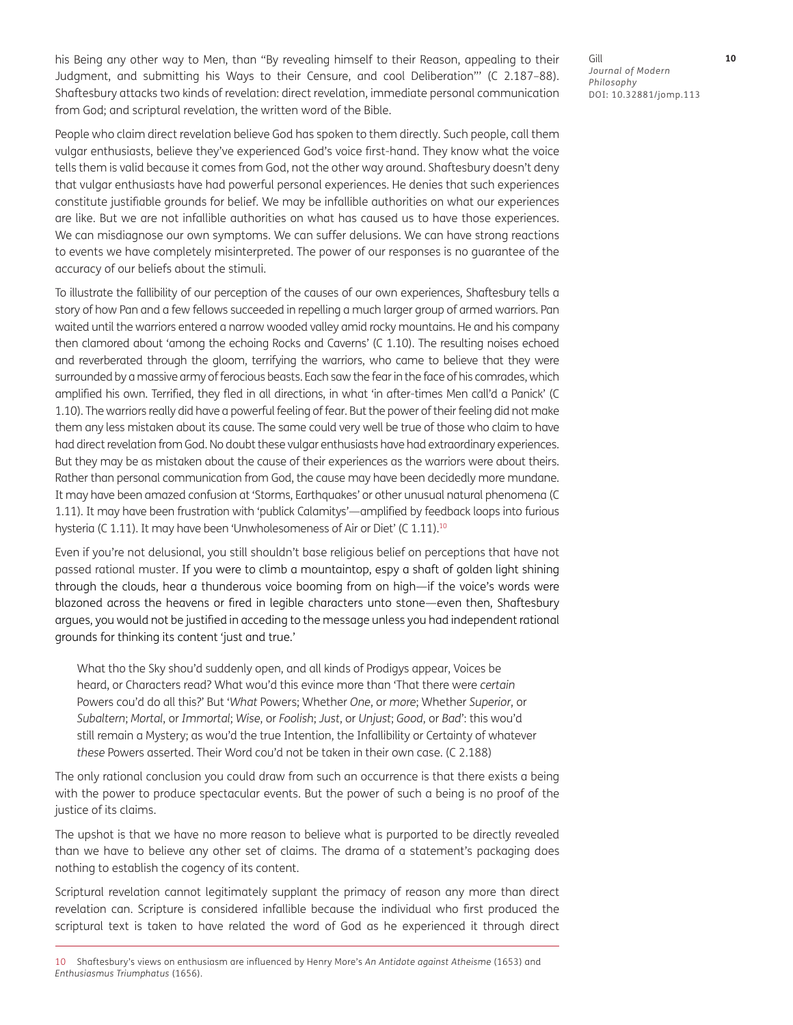his Being any other way to Men, than "By revealing himself to their Reason, appealing to their Judgment, and submitting his Ways to their Censure, and cool Deliberation"' (C 2.187–88). Shaftesbury attacks two kinds of revelation: direct revelation, immediate personal communication from God; and scriptural revelation, the written word of the Bible.

People who claim direct revelation believe God has spoken to them directly. Such people, call them vulgar enthusiasts, believe they've experienced God's voice first-hand. They know what the voice tells them is valid because it comes from God, not the other way around. Shaftesbury doesn't deny that vulgar enthusiasts have had powerful personal experiences. He denies that such experiences constitute justifiable grounds for belief. We may be infallible authorities on what our experiences are like. But we are not infallible authorities on what has caused us to have those experiences. We can misdiagnose our own symptoms. We can suffer delusions. We can have strong reactions to events we have completely misinterpreted. The power of our responses is no guarantee of the accuracy of our beliefs about the stimuli.

To illustrate the fallibility of our perception of the causes of our own experiences, Shaftesbury tells a story of how Pan and a few fellows succeeded in repelling a much larger group of armed warriors. Pan waited until the warriors entered a narrow wooded valley amid rocky mountains. He and his company then clamored about 'among the echoing Rocks and Caverns' (C 1.10). The resulting noises echoed and reverberated through the gloom, terrifying the warriors, who came to believe that they were surrounded by a massive army of ferocious beasts. Each saw the fear in the face of his comrades, which amplified his own. Terrified, they fled in all directions, in what 'in after-times Men call'd a Panick' (C 1.10). The warriors really did have a powerful feeling of fear. But the power of their feeling did not make them any less mistaken about its cause. The same could very well be true of those who claim to have had direct revelation from God. No doubt these vulgar enthusiasts have had extraordinary experiences. But they may be as mistaken about the cause of their experiences as the warriors were about theirs. Rather than personal communication from God, the cause may have been decidedly more mundane. It may have been amazed confusion at 'Storms, Earthquakes' or other unusual natural phenomena (C 1.11). It may have been frustration with 'publick Calamitys'—amplified by feedback loops into furious hysteria (C 1.11). It may have been 'Unwholesomeness of Air or Diet' (C 1.11).<sup>10</sup>

Even if you're not delusional, you still shouldn't base religious belief on perceptions that have not passed rational muster. If you were to climb a mountaintop, espy a shaft of golden light shining through the clouds, hear a thunderous voice booming from on high—if the voice's words were blazoned across the heavens or fired in legible characters unto stone—even then, Shaftesbury argues, you would not be justified in acceding to the message unless you had independent rational grounds for thinking its content 'just and true.'

What tho the Sky shou'd suddenly open, and all kinds of Prodigys appear, Voices be heard, or Characters read? What wou'd this evince more than 'That there were *certain* Powers cou'd do all this?' But '*What* Powers; Whether *One*, or *more*; Whether *Superior*, or *Subaltern*; *Mortal*, or *Immortal*; *Wise*, or *Foolish*; *Just*, or *Unjust*; *Good*, or *Bad*': this wou'd still remain a Mystery; as wou'd the true Intention, the Infallibility or Certainty of whatever *these* Powers asserted. Their Word cou'd not be taken in their own case. (C 2.188)

The only rational conclusion you could draw from such an occurrence is that there exists a being with the power to produce spectacular events. But the power of such a being is no proof of the justice of its claims.

The upshot is that we have no more reason to believe what is purported to be directly revealed than we have to believe any other set of claims. The drama of a statement's packaging does nothing to establish the cogency of its content.

Scriptural revelation cannot legitimately supplant the primacy of reason any more than direct revelation can. Scripture is considered infallible because the individual who first produced the scriptural text is taken to have related the word of God as he experienced it through direct

10 Shaftesbury's views on enthusiasm are influenced by Henry More's *An Antidote against Atheisme* (1653) and *Enthusiasmus Triumphatus* (1656).

Gill **10** *Journal of Modern Philosophy* DOI: 10.32881/jomp.113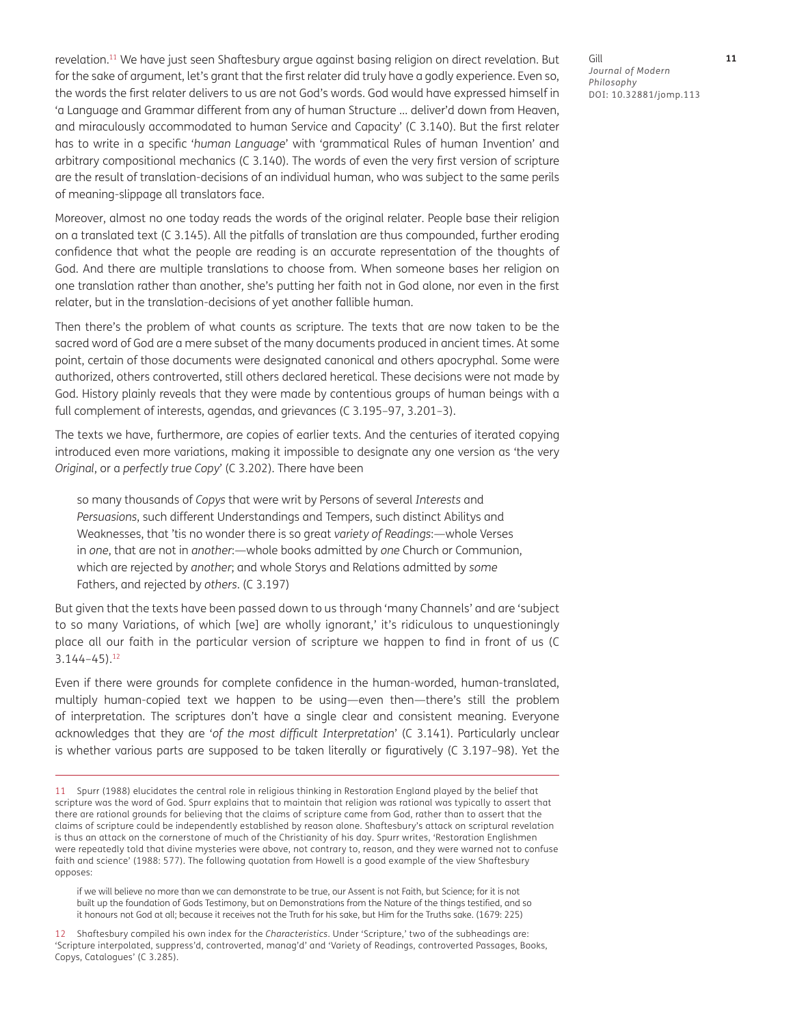revelation.<sup>11</sup> We have just seen Shaftesbury argue against basing religion on direct revelation. But for the sake of argument, let's grant that the first relater did truly have a godly experience. Even so, the words the first relater delivers to us are not God's words. God would have expressed himself in 'a Language and Grammar different from any of human Structure … deliver'd down from Heaven, and miraculously accommodated to human Service and Capacity' (C 3.140). But the first relater has to write in a specific '*human Language*' with 'grammatical Rules of human Invention' and arbitrary compositional mechanics (C 3.140). The words of even the very first version of scripture are the result of translation-decisions of an individual human, who was subject to the same perils of meaning-slippage all translators face.

Moreover, almost no one today reads the words of the original relater. People base their religion on a translated text (C 3.145). All the pitfalls of translation are thus compounded, further eroding confidence that what the people are reading is an accurate representation of the thoughts of God. And there are multiple translations to choose from. When someone bases her religion on one translation rather than another, she's putting her faith not in God alone, nor even in the first relater, but in the translation-decisions of yet another fallible human.

Then there's the problem of what counts as scripture. The texts that are now taken to be the sacred word of God are a mere subset of the many documents produced in ancient times. At some point, certain of those documents were designated canonical and others apocryphal. Some were authorized, others controverted, still others declared heretical. These decisions were not made by God. History plainly reveals that they were made by contentious groups of human beings with a full complement of interests, agendas, and grievances (C 3.195–97, 3.201–3).

The texts we have, furthermore, are copies of earlier texts. And the centuries of iterated copying introduced even more variations, making it impossible to designate any one version as 'the very *Original*, or a *perfectly true Copy*' (C 3.202). There have been

so many thousands of *Copys* that were writ by Persons of several *Interests* and *Persuasions*, such different Understandings and Tempers, such distinct Abilitys and Weaknesses, that 'tis no wonder there is so great *variety of Readings*:—whole Verses in *one*, that are not in *another*:—whole books admitted by *one* Church or Communion, which are rejected by *another*; and whole Storys and Relations admitted by *some*  Fathers, and rejected by *others*. (C 3.197)

But given that the texts have been passed down to us through 'many Channels' and are 'subject to so many Variations, of which [we] are wholly ignorant,' it's ridiculous to unquestioningly place all our faith in the particular version of scripture we happen to find in front of us (C 3.144–45).12

Even if there were grounds for complete confidence in the human-worded, human-translated, multiply human-copied text we happen to be using—even then—there's still the problem of interpretation. The scriptures don't have a single clear and consistent meaning. Everyone acknowledges that they are '*of the most difficult Interpretation*' (C 3.141). Particularly unclear is whether various parts are supposed to be taken literally or figuratively (C 3.197–98). Yet the

if we will believe no more than we can demonstrate to be true, our Assent is not Faith, but Science; for it is not built up the foundation of Gods Testimony, but on Demonstrations from the Nature of the things testified, and so it honours not God at all; because it receives not the Truth for his sake, but Him for the Truths sake. (1679: 225)

12 Shaftesbury compiled his own index for the *Characteristics*. Under 'Scripture,' two of the subheadings are: 'Scripture interpolated, suppress'd, controverted, manag'd' and 'Variety of Readings, controverted Passages, Books, Copys, Catalogues' (C 3.285).

Gill **11** *Journal of Modern Philosophy* DOI: 10.32881/jomp.113

<sup>11</sup> Spurr (1988) elucidates the central role in religious thinking in Restoration England played by the belief that scripture was the word of God. Spurr explains that to maintain that religion was rational was typically to assert that there are rational grounds for believing that the claims of scripture came from God, rather than to assert that the claims of scripture could be independently established by reason alone. Shaftesbury's attack on scriptural revelation is thus an attack on the cornerstone of much of the Christianity of his day. Spurr writes, 'Restoration Englishmen were repeatedly told that divine mysteries were above, not contrary to, reason, and they were warned not to confuse faith and science' (1988: 577). The following quotation from Howell is a good example of the view Shaftesbury opposes: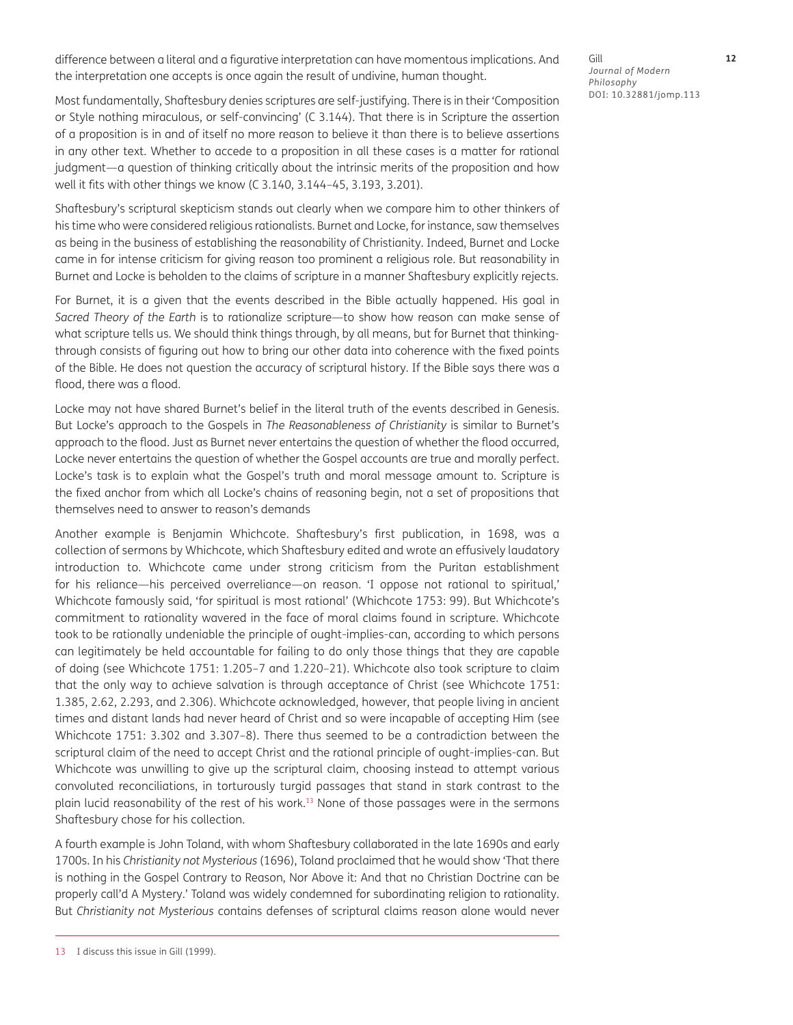difference between a literal and a figurative interpretation can have momentous implications. And the interpretation one accepts is once again the result of undivine, human thought.

Gill **12** *Journal of Modern Philosophy* DOI: 10.32881/jomp.113

Most fundamentally, Shaftesbury denies scriptures are self-justifying. There is in their 'Composition or Style nothing miraculous, or self-convincing' (C 3.144). That there is in Scripture the assertion of a proposition is in and of itself no more reason to believe it than there is to believe assertions in any other text. Whether to accede to a proposition in all these cases is a matter for rational judgment—a question of thinking critically about the intrinsic merits of the proposition and how well it fits with other things we know (C 3.140, 3.144–45, 3.193, 3.201).

Shaftesbury's scriptural skepticism stands out clearly when we compare him to other thinkers of his time who were considered religious rationalists. Burnet and Locke, for instance, saw themselves as being in the business of establishing the reasonability of Christianity. Indeed, Burnet and Locke came in for intense criticism for giving reason too prominent a religious role. But reasonability in Burnet and Locke is beholden to the claims of scripture in a manner Shaftesbury explicitly rejects.

For Burnet, it is a given that the events described in the Bible actually happened. His goal in *Sacred Theory of the Earth* is to rationalize scripture—to show how reason can make sense of what scripture tells us. We should think things through, by all means, but for Burnet that thinkingthrough consists of figuring out how to bring our other data into coherence with the fixed points of the Bible. He does not question the accuracy of scriptural history. If the Bible says there was a flood, there was a flood.

Locke may not have shared Burnet's belief in the literal truth of the events described in Genesis. But Locke's approach to the Gospels in *The Reasonableness of Christianity* is similar to Burnet's approach to the flood. Just as Burnet never entertains the question of whether the flood occurred, Locke never entertains the question of whether the Gospel accounts are true and morally perfect. Locke's task is to explain what the Gospel's truth and moral message amount to. Scripture is the fixed anchor from which all Locke's chains of reasoning begin, not a set of propositions that themselves need to answer to reason's demands

Another example is Benjamin Whichcote. Shaftesbury's first publication, in 1698, was a collection of sermons by Whichcote, which Shaftesbury edited and wrote an effusively laudatory introduction to. Whichcote came under strong criticism from the Puritan establishment for his reliance—his perceived overreliance—on reason. 'I oppose not rational to spiritual,' Whichcote famously said, 'for spiritual is most rational' (Whichcote 1753: 99). But Whichcote's commitment to rationality wavered in the face of moral claims found in scripture. Whichcote took to be rationally undeniable the principle of ought-implies-can, according to which persons can legitimately be held accountable for failing to do only those things that they are capable of doing (see Whichcote 1751: 1.205–7 and 1.220–21). Whichcote also took scripture to claim that the only way to achieve salvation is through acceptance of Christ (see Whichcote 1751: 1.385, 2.62, 2.293, and 2.306). Whichcote acknowledged, however, that people living in ancient times and distant lands had never heard of Christ and so were incapable of accepting Him (see Whichcote 1751: 3.302 and 3.307–8). There thus seemed to be a contradiction between the scriptural claim of the need to accept Christ and the rational principle of ought-implies-can. But Whichcote was unwilling to give up the scriptural claim, choosing instead to attempt various convoluted reconciliations, in torturously turgid passages that stand in stark contrast to the plain lucid reasonability of the rest of his work.13 None of those passages were in the sermons Shaftesbury chose for his collection.

A fourth example is John Toland, with whom Shaftesbury collaborated in the late 1690s and early 1700s. In his *Christianity not Mysterious* (1696), Toland proclaimed that he would show 'That there is nothing in the Gospel Contrary to Reason, Nor Above it: And that no Christian Doctrine can be properly call'd A Mystery.' Toland was widely condemned for subordinating religion to rationality. But *Christianity not Mysterious* contains defenses of scriptural claims reason alone would never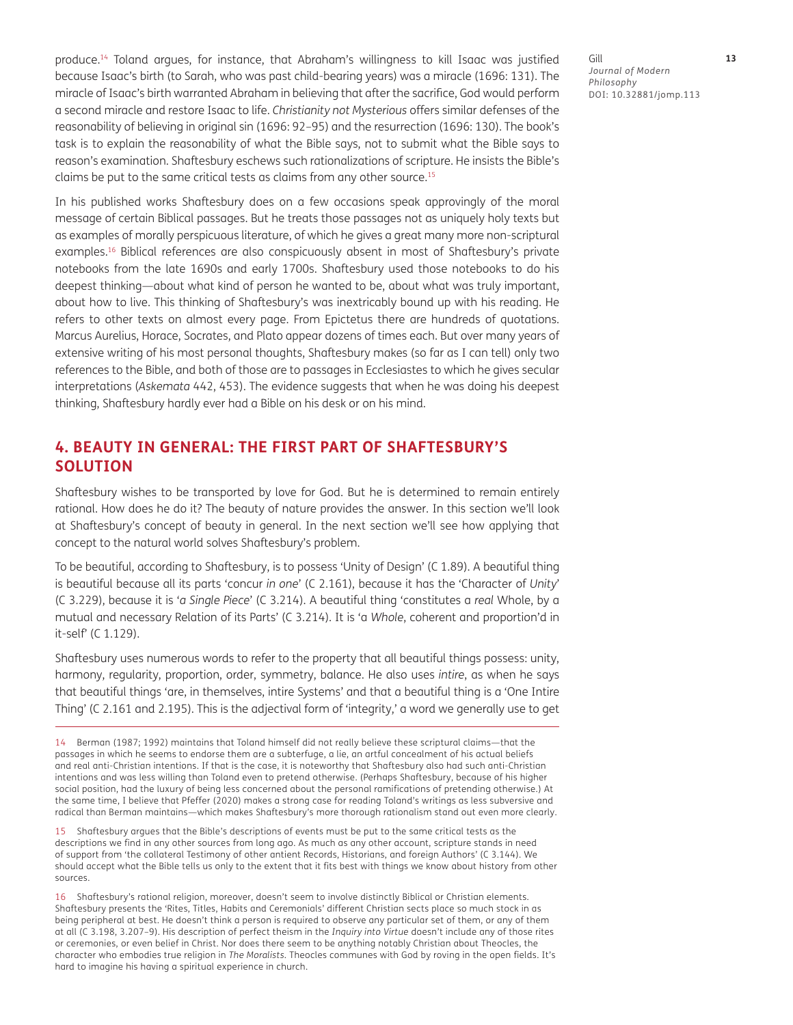produce.14 Toland argues, for instance, that Abraham's willingness to kill Isaac was justified because Isaac's birth (to Sarah, who was past child-bearing years) was a miracle (1696: 131). The miracle of Isaac's birth warranted Abraham in believing that after the sacrifice, God would perform a second miracle and restore Isaac to life. *Christianity not Mysterious* offers similar defenses of the reasonability of believing in original sin (1696: 92–95) and the resurrection (1696: 130). The book's task is to explain the reasonability of what the Bible says, not to submit what the Bible says to reason's examination. Shaftesbury eschews such rationalizations of scripture. He insists the Bible's claims be put to the same critical tests as claims from any other source.15

In his published works Shaftesbury does on a few occasions speak approvingly of the moral message of certain Biblical passages. But he treats those passages not as uniquely holy texts but as examples of morally perspicuous literature, of which he gives a great many more non-scriptural examples.<sup>16</sup> Biblical references are also conspicuously absent in most of Shaftesbury's private notebooks from the late 1690s and early 1700s. Shaftesbury used those notebooks to do his deepest thinking—about what kind of person he wanted to be, about what was truly important, about how to live. This thinking of Shaftesbury's was inextricably bound up with his reading. He refers to other texts on almost every page. From Epictetus there are hundreds of quotations. Marcus Aurelius, Horace, Socrates, and Plato appear dozens of times each. But over many years of extensive writing of his most personal thoughts, Shaftesbury makes (so far as I can tell) only two references to the Bible, and both of those are to passages in Ecclesiastes to which he gives secular interpretations (*Askemata* 442, 453). The evidence suggests that when he was doing his deepest thinking, Shaftesbury hardly ever had a Bible on his desk or on his mind.

## **4. BEAUTY IN GENERAL: THE FIRST PART OF SHAFTESBURY'S SOLUTION**

Shaftesbury wishes to be transported by love for God. But he is determined to remain entirely rational. How does he do it? The beauty of nature provides the answer. In this section we'll look at Shaftesbury's concept of beauty in general. In the next section we'll see how applying that concept to the natural world solves Shaftesbury's problem.

To be beautiful, according to Shaftesbury, is to possess 'Unity of Design' (C 1.89). A beautiful thing is beautiful because all its parts 'concur *in one*' (C 2.161), because it has the 'Character of *Unity*' (C 3.229), because it is '*a Single Piece*' (C 3.214). A beautiful thing 'constitutes a *real* Whole, by a mutual and necessary Relation of its Parts' (C 3.214). It is 'a *Whole*, coherent and proportion'd in it-self' (C 1.129).

Shaftesbury uses numerous words to refer to the property that all beautiful things possess: unity, harmony, regularity, proportion, order, symmetry, balance. He also uses *intire*, as when he says that beautiful things 'are, in themselves, intire Systems' and that a beautiful thing is a 'One Intire Thing' (C 2.161 and 2.195). This is the adjectival form of 'integrity,' a word we generally use to get

14 Berman (1987; 1992) maintains that Toland himself did not really believe these scriptural claims—that the passages in which he seems to endorse them are a subterfuge, a lie, an artful concealment of his actual beliefs and real anti-Christian intentions. If that is the case, it is noteworthy that Shaftesbury also had such anti-Christian intentions and was less willing than Toland even to pretend otherwise. (Perhaps Shaftesbury, because of his higher social position, had the luxury of being less concerned about the personal ramifications of pretending otherwise.) At the same time, I believe that Pfeffer (2020) makes a strong case for reading Toland's writings as less subversive and radical than Berman maintains—which makes Shaftesbury's more thorough rationalism stand out even more clearly.

15 Shaftesbury argues that the Bible's descriptions of events must be put to the same critical tests as the descriptions we find in any other sources from long ago. As much as any other account, scripture stands in need of support from 'the collateral Testimony of other antient Records, Historians, and foreign Authors' (C 3.144). We should accept what the Bible tells us only to the extent that it fits best with things we know about history from other sources.

16 Shaftesbury's rational religion, moreover, doesn't seem to involve distinctly Biblical or Christian elements. Shaftesbury presents the 'Rites, Titles, Habits and Ceremonials' different Christian sects place so much stock in as being peripheral at best. He doesn't think a person is required to observe any particular set of them, or any of them at all (C 3.198, 3.207–9). His description of perfect theism in the *Inquiry into Virtue* doesn't include any of those rites or ceremonies, or even belief in Christ. Nor does there seem to be anything notably Christian about Theocles, the character who embodies true religion in *The Moralists*. Theocles communes with God by roving in the open fields. It's hard to imagine his having a spiritual experience in church.

Gill **13** *Journal of Modern Philosophy* DOI: 10.32881/jomp.113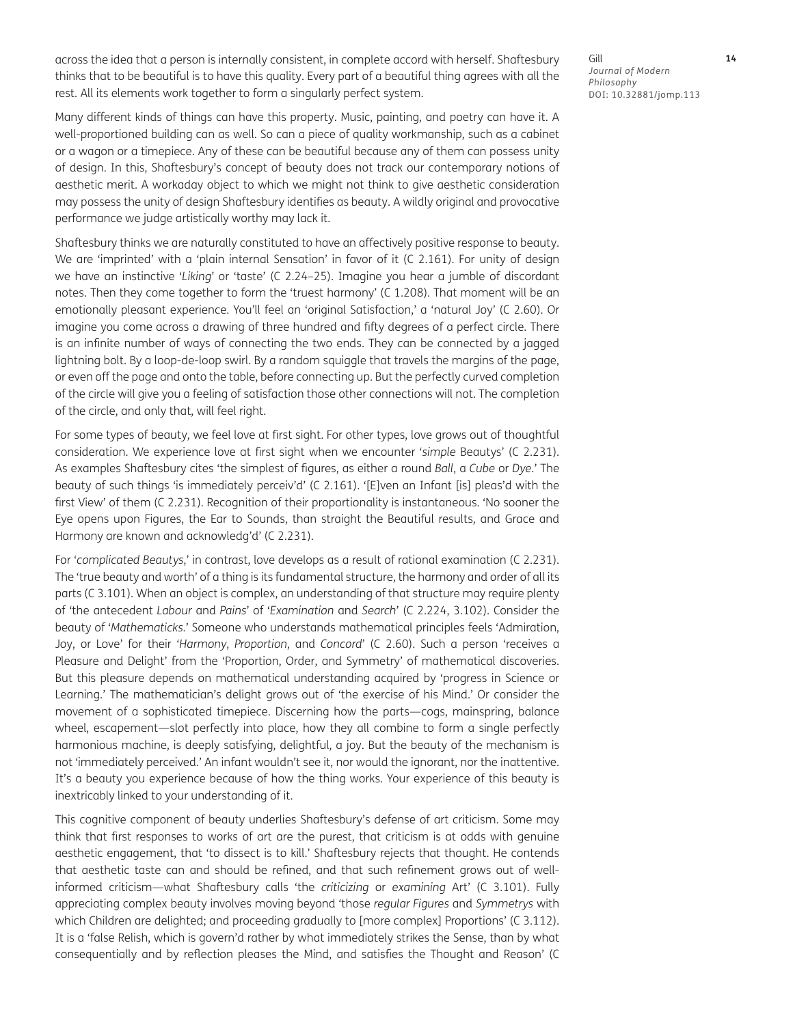across the idea that a person is internally consistent, in complete accord with herself. Shaftesbury thinks that to be beautiful is to have this quality. Every part of a beautiful thing agrees with all the rest. All its elements work together to form a singularly perfect system.

Many different kinds of things can have this property. Music, painting, and poetry can have it. A well-proportioned building can as well. So can a piece of quality workmanship, such as a cabinet or a wagon or a timepiece. Any of these can be beautiful because any of them can possess unity of design. In this, Shaftesbury's concept of beauty does not track our contemporary notions of aesthetic merit. A workaday object to which we might not think to give aesthetic consideration may possess the unity of design Shaftesbury identifies as beauty. A wildly original and provocative performance we judge artistically worthy may lack it.

Shaftesbury thinks we are naturally constituted to have an affectively positive response to beauty. We are 'imprinted' with a 'plain internal Sensation' in favor of it (C 2.161). For unity of design we have an instinctive '*Liking*' or 'taste' (C 2.24–25). Imagine you hear a jumble of discordant notes. Then they come together to form the 'truest harmony' (C 1.208). That moment will be an emotionally pleasant experience. You'll feel an 'original Satisfaction,' a 'natural Joy' (C 2.60). Or imagine you come across a drawing of three hundred and fifty degrees of a perfect circle. There is an infinite number of ways of connecting the two ends. They can be connected by a jagged lightning bolt. By a loop-de-loop swirl. By a random squiggle that travels the margins of the page, or even off the page and onto the table, before connecting up. But the perfectly curved completion of the circle will give you a feeling of satisfaction those other connections will not. The completion of the circle, and only that, will feel right.

For some types of beauty, we feel love at first sight. For other types, love grows out of thoughtful consideration. We experience love at first sight when we encounter '*simple* Beautys' (C 2.231). As examples Shaftesbury cites 'the simplest of figures, as either a round *Ball*, a *Cube* or *Dye*.' The beauty of such things 'is immediately perceiv'd' (C 2.161). '[E]ven an Infant [is] pleas'd with the first View' of them (C 2.231). Recognition of their proportionality is instantaneous. 'No sooner the Eye opens upon Figures, the Ear to Sounds, than straight the Beautiful results, and Grace and Harmony are known and acknowledg'd' (C 2.231).

For '*complicated Beautys*,' in contrast, love develops as a result of rational examination (C 2.231). The 'true beauty and worth' of a thing is its fundamental structure, the harmony and order of all its parts (C 3.101). When an object is complex, an understanding of that structure may require plenty of 'the antecedent *Labour* and *Pains*' of '*Examination* and *Search*' (C 2.224, 3.102). Consider the beauty of '*Mathematicks.*' Someone who understands mathematical principles feels 'Admiration, Joy, or Love' for their '*Harmony*, *Proportion*, and *Concord*' (C 2.60). Such a person 'receives a Pleasure and Delight' from the 'Proportion, Order, and Symmetry' of mathematical discoveries. But this pleasure depends on mathematical understanding acquired by 'progress in Science or Learning.' The mathematician's delight grows out of 'the exercise of his Mind.' Or consider the movement of a sophisticated timepiece. Discerning how the parts—cogs, mainspring, balance wheel, escapement—slot perfectly into place, how they all combine to form a single perfectly harmonious machine, is deeply satisfying, delightful, a joy. But the beauty of the mechanism is not 'immediately perceived.' An infant wouldn't see it, nor would the ignorant, nor the inattentive. It's a beauty you experience because of how the thing works. Your experience of this beauty is inextricably linked to your understanding of it.

This cognitive component of beauty underlies Shaftesbury's defense of art criticism. Some may think that first responses to works of art are the purest, that criticism is at odds with genuine aesthetic engagement, that 'to dissect is to kill.' Shaftesbury rejects that thought. He contends that aesthetic taste can and should be refined, and that such refinement grows out of wellinformed criticism—what Shaftesbury calls 'the *criticizing* or *examining* Art' (C 3.101). Fully appreciating complex beauty involves moving beyond 'those *regular Figures* and *Symmetrys* with which Children are delighted; and proceeding gradually to [more complex] Proportions' (C 3.112). It is a 'false Relish, which is govern'd rather by what immediately strikes the Sense, than by what consequentially and by reflection pleases the Mind, and satisfies the Thought and Reason' (C

Gill **14** *Journal of Modern Philosophy* DOI: 10.32881/jomp.113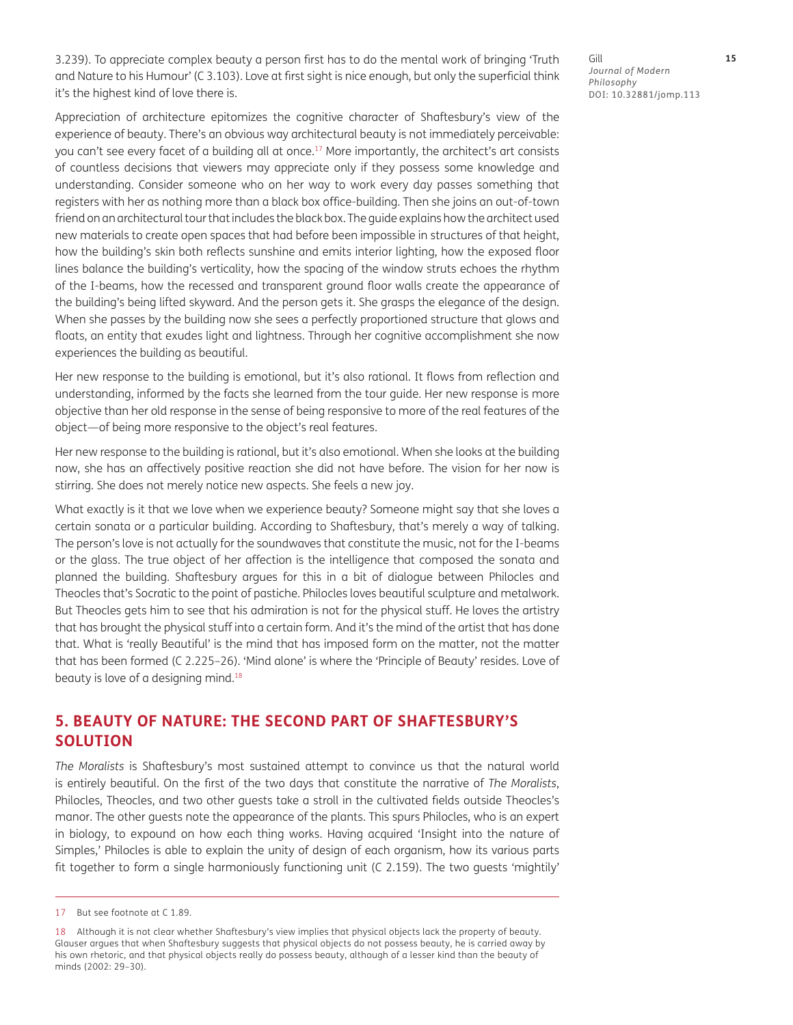3.239). To appreciate complex beauty a person first has to do the mental work of bringing 'Truth and Nature to his Humour' (C 3.103). Love at first sight is nice enough, but only the superficial think it's the highest kind of love there is.

Appreciation of architecture epitomizes the cognitive character of Shaftesbury's view of the experience of beauty. There's an obvious way architectural beauty is not immediately perceivable: you can't see every facet of a building all at once.17 More importantly, the architect's art consists of countless decisions that viewers may appreciate only if they possess some knowledge and understanding. Consider someone who on her way to work every day passes something that registers with her as nothing more than a black box office-building. Then she joins an out-of-town friend on an architectural tour that includes the black box. The guide explains how the architect used new materials to create open spaces that had before been impossible in structures of that height, how the building's skin both reflects sunshine and emits interior lighting, how the exposed floor lines balance the building's verticality, how the spacing of the window struts echoes the rhythm of the I-beams, how the recessed and transparent ground floor walls create the appearance of the building's being lifted skyward. And the person gets it. She grasps the elegance of the design. When she passes by the building now she sees a perfectly proportioned structure that glows and floats, an entity that exudes light and lightness. Through her cognitive accomplishment she now experiences the building as beautiful.

Her new response to the building is emotional, but it's also rational. It flows from reflection and understanding, informed by the facts she learned from the tour guide. Her new response is more objective than her old response in the sense of being responsive to more of the real features of the object—of being more responsive to the object's real features.

Her new response to the building is rational, but it's also emotional. When she looks at the building now, she has an affectively positive reaction she did not have before. The vision for her now is stirring. She does not merely notice new aspects. She feels a new joy.

What exactly is it that we love when we experience beauty? Someone might say that she loves a certain sonata or a particular building. According to Shaftesbury, that's merely a way of talking. The person's love is not actually for the soundwaves that constitute the music, not for the I-beams or the glass. The true object of her affection is the intelligence that composed the sonata and planned the building. Shaftesbury argues for this in a bit of dialogue between Philocles and Theocles that's Socratic to the point of pastiche. Philocles loves beautiful sculpture and metalwork. But Theocles gets him to see that his admiration is not for the physical stuff. He loves the artistry that has brought the physical stuff into a certain form. And it's the mind of the artist that has done that. What is 'really Beautiful' is the mind that has imposed form on the matter, not the matter that has been formed (C 2.225–26). 'Mind alone' is where the 'Principle of Beauty' resides. Love of beauty is love of a designing mind.<sup>18</sup>

## **5. BEAUTY OF NATURE: THE SECOND PART OF SHAFTESBURY'S SOLUTION**

*The Moralists* is Shaftesbury's most sustained attempt to convince us that the natural world is entirely beautiful. On the first of the two days that constitute the narrative of *The Moralists*, Philocles, Theocles, and two other guests take a stroll in the cultivated fields outside Theocles's manor. The other guests note the appearance of the plants. This spurs Philocles, who is an expert in biology, to expound on how each thing works. Having acquired 'Insight into the nature of Simples,' Philocles is able to explain the unity of design of each organism, how its various parts fit together to form a single harmoniously functioning unit (C 2.159). The two guests 'mightily'

Gill **15** *Journal of Modern Philosophy* DOI: 10.32881/jomp.113

<sup>17</sup> But see footnote at C 1.89.

<sup>18</sup> Although it is not clear whether Shaftesbury's view implies that physical objects lack the property of beauty. Glauser argues that when Shaftesbury suggests that physical objects do not possess beauty, he is carried away by his own rhetoric, and that physical objects really do possess beauty, although of a lesser kind than the beauty of minds (2002: 29–30).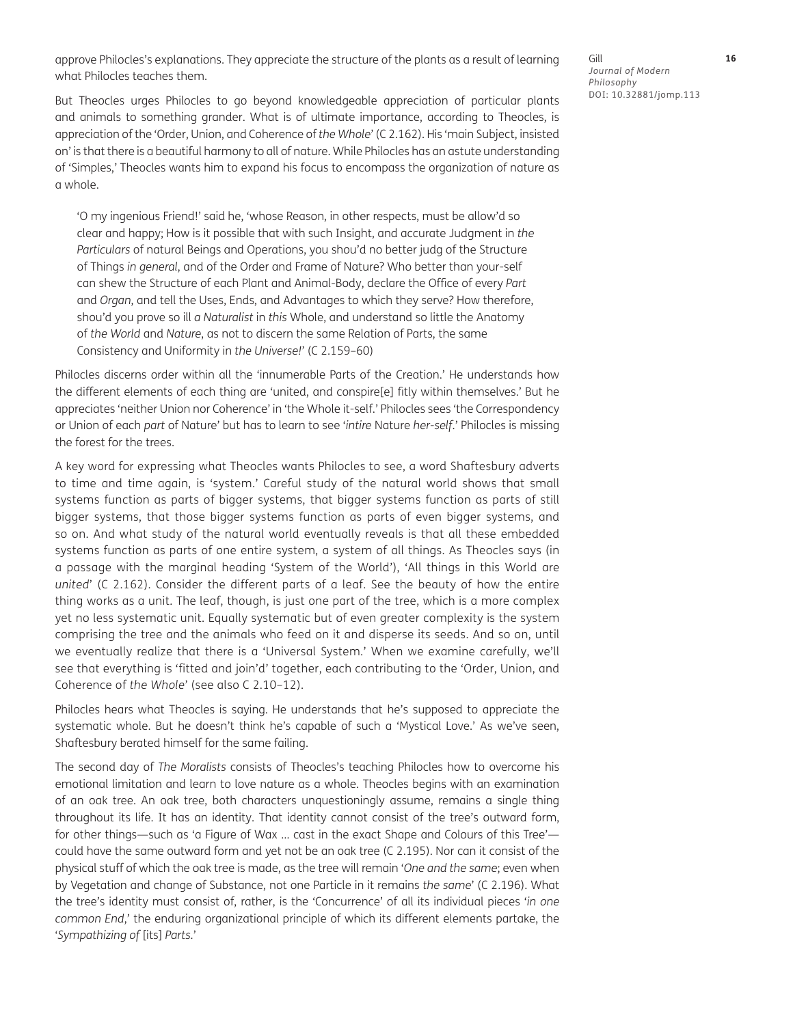approve Philocles's explanations. They appreciate the structure of the plants as a result of learning what Philocles teaches them.

But Theocles urges Philocles to go beyond knowledgeable appreciation of particular plants and animals to something grander. What is of ultimate importance, according to Theocles, is appreciation of the 'Order, Union, and Coherence of *the Whole*' (C 2.162). His 'main Subject, insisted on' is that there is a beautiful harmony to all of nature. While Philocles has an astute understanding of 'Simples,' Theocles wants him to expand his focus to encompass the organization of nature as a whole.

'O my ingenious Friend!' said he, 'whose Reason, in other respects, must be allow'd so clear and happy; How is it possible that with such Insight, and accurate Judgment in *the Particulars* of natural Beings and Operations, you shou'd no better judg of the Structure of Things *in general*, and of the Order and Frame of Nature? Who better than your-self can shew the Structure of each Plant and Animal-Body, declare the Office of every *Part* and *Organ*, and tell the Uses, Ends, and Advantages to which they serve? How therefore, shou'd you prove so ill *a Naturalist* in *this* Whole, and understand so little the Anatomy of *the World* and *Nature*, as not to discern the same Relation of Parts, the same Consistency and Uniformity in *the Universe!*' (C 2.159–60)

Philocles discerns order within all the 'innumerable Parts of the Creation.' He understands how the different elements of each thing are 'united, and conspire[e] fitly within themselves.' But he appreciates 'neither Union nor Coherence' in 'the Whole it-self.' Philocles sees 'the Correspondency or Union of each *part* of Nature' but has to learn to see '*intire* Nature *her-self*.' Philocles is missing the forest for the trees.

A key word for expressing what Theocles wants Philocles to see, a word Shaftesbury adverts to time and time again, is 'system.' Careful study of the natural world shows that small systems function as parts of bigger systems, that bigger systems function as parts of still bigger systems, that those bigger systems function as parts of even bigger systems, and so on. And what study of the natural world eventually reveals is that all these embedded systems function as parts of one entire system, a system of all things. As Theocles says (in a passage with the marginal heading 'System of the World'), 'All things in this World are *united*' (C 2.162). Consider the different parts of a leaf. See the beauty of how the entire thing works as a unit. The leaf, though, is just one part of the tree, which is a more complex yet no less systematic unit. Equally systematic but of even greater complexity is the system comprising the tree and the animals who feed on it and disperse its seeds. And so on, until we eventually realize that there is a 'Universal System.' When we examine carefully, we'll see that everything is 'fitted and join'd' together, each contributing to the 'Order, Union, and Coherence of *the Whole*' (see also C 2.10–12).

Philocles hears what Theocles is saying. He understands that he's supposed to appreciate the systematic whole. But he doesn't think he's capable of such a 'Mystical Love.' As we've seen, Shaftesbury berated himself for the same failing.

The second day of *The Moralists* consists of Theocles's teaching Philocles how to overcome his emotional limitation and learn to love nature as a whole. Theocles begins with an examination of an oak tree. An oak tree, both characters unquestioningly assume, remains a single thing throughout its life. It has an identity. That identity cannot consist of the tree's outward form, for other things—such as 'a Figure of Wax … cast in the exact Shape and Colours of this Tree' could have the same outward form and yet not be an oak tree (C 2.195). Nor can it consist of the physical stuff of which the oak tree is made, as the tree will remain '*One and the same*; even when by Vegetation and change of Substance, not one Particle in it remains *the same*' (C 2.196). What the tree's identity must consist of, rather, is the 'Concurrence' of all its individual pieces '*in one common End*,' the enduring organizational principle of which its different elements partake, the '*Sympathizing of* [its] *Parts.*'

Gill **16** *Journal of Modern Philosophy* DOI: 10.32881/jomp.113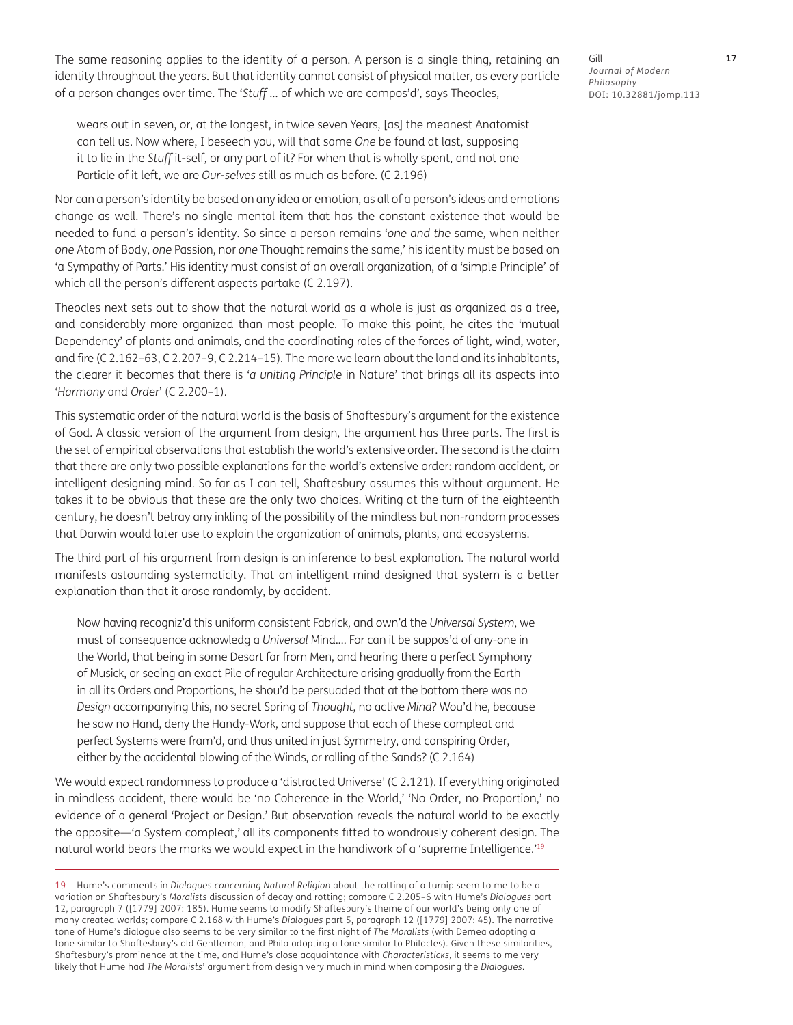The same reasoning applies to the identity of a person. A person is a single thing, retaining an identity throughout the years. But that identity cannot consist of physical matter, as every particle of a person changes over time. The '*Stuff* … of which we are compos'd', says Theocles,

wears out in seven, or, at the longest, in twice seven Years, [as] the meanest Anatomist can tell us. Now where, I beseech you, will that same *One* be found at last, supposing it to lie in the *Stuff* it-self, or any part of it? For when that is wholly spent, and not one Particle of it left, we are *Our-selves* still as much as before. (C 2.196)

Nor can a person's identity be based on any idea or emotion, as all of a person's ideas and emotions change as well. There's no single mental item that has the constant existence that would be needed to fund a person's identity. So since a person remains '*one and the* same, when neither *one* Atom of Body, *one* Passion, nor *one* Thought remains the same,' his identity must be based on 'a Sympathy of Parts.' His identity must consist of an overall organization, of a 'simple Principle' of which all the person's different aspects partake (C 2.197).

Theocles next sets out to show that the natural world as a whole is just as organized as a tree, and considerably more organized than most people. To make this point, he cites the 'mutual Dependency' of plants and animals, and the coordinating roles of the forces of light, wind, water, and fire (C 2.162–63, C 2.207–9, C 2.214–15). The more we learn about the land and its inhabitants, the clearer it becomes that there is '*a uniting Principle* in Nature' that brings all its aspects into '*Harmony* and *Order*' (C 2.200–1).

This systematic order of the natural world is the basis of Shaftesbury's argument for the existence of God. A classic version of the argument from design, the argument has three parts. The first is the set of empirical observations that establish the world's extensive order. The second is the claim that there are only two possible explanations for the world's extensive order: random accident, or intelligent designing mind. So far as I can tell, Shaftesbury assumes this without argument. He takes it to be obvious that these are the only two choices. Writing at the turn of the eighteenth century, he doesn't betray any inkling of the possibility of the mindless but non-random processes that Darwin would later use to explain the organization of animals, plants, and ecosystems.

The third part of his argument from design is an inference to best explanation. The natural world manifests astounding systematicity. That an intelligent mind designed that system is a better explanation than that it arose randomly, by accident.

Now having recogniz'd this uniform consistent Fabrick, and own'd the *Universal System*, we must of consequence acknowledg a *Universal* Mind.… For can it be suppos'd of any-one in the World, that being in some Desart far from Men, and hearing there a perfect Symphony of Musick, or seeing an exact Pile of regular Architecture arising gradually from the Earth in all its Orders and Proportions, he shou'd be persuaded that at the bottom there was no *Design* accompanying this, no secret Spring of *Thought*, no active *Mind*? Wou'd he, because he saw no Hand, deny the Handy-Work, and suppose that each of these compleat and perfect Systems were fram'd, and thus united in just Symmetry, and conspiring Order, either by the accidental blowing of the Winds, or rolling of the Sands? (C 2.164)

We would expect randomness to produce a 'distracted Universe' (C 2.121). If everything originated in mindless accident, there would be 'no Coherence in the World,' 'No Order, no Proportion,' no evidence of a general 'Project or Design.' But observation reveals the natural world to be exactly the opposite—'a System compleat,' all its components fitted to wondrously coherent design. The natural world bears the marks we would expect in the handiwork of a 'supreme Intelligence.'<sup>19</sup>

19 Hume's comments in *Dialogues concerning Natural Religion* about the rotting of a turnip seem to me to be a variation on Shaftesbury's *Moralists* discussion of decay and rotting; compare C 2.205–6 with Hume's *Dialogues* part 12, paragraph 7 ([1779] 2007: 185). Hume seems to modify Shaftesbury's theme of our world's being only one of many created worlds; compare C 2.168 with Hume's *Dialogues* part 5, paragraph 12 ([1779] 2007: 45). The narrative tone of Hume's dialogue also seems to be very similar to the first night of *The Moralists* (with Demea adopting a tone similar to Shaftesbury's old Gentleman, and Philo adopting a tone similar to Philocles). Given these similarities, Shaftesbury's prominence at the time, and Hume's close acquaintance with *Characteristicks*, it seems to me very likely that Hume had *The Moralists*' argument from design very much in mind when composing the *Dialogues*.

Gill **17** *Journal of Modern Philosophy* DOI: 10.32881/jomp.113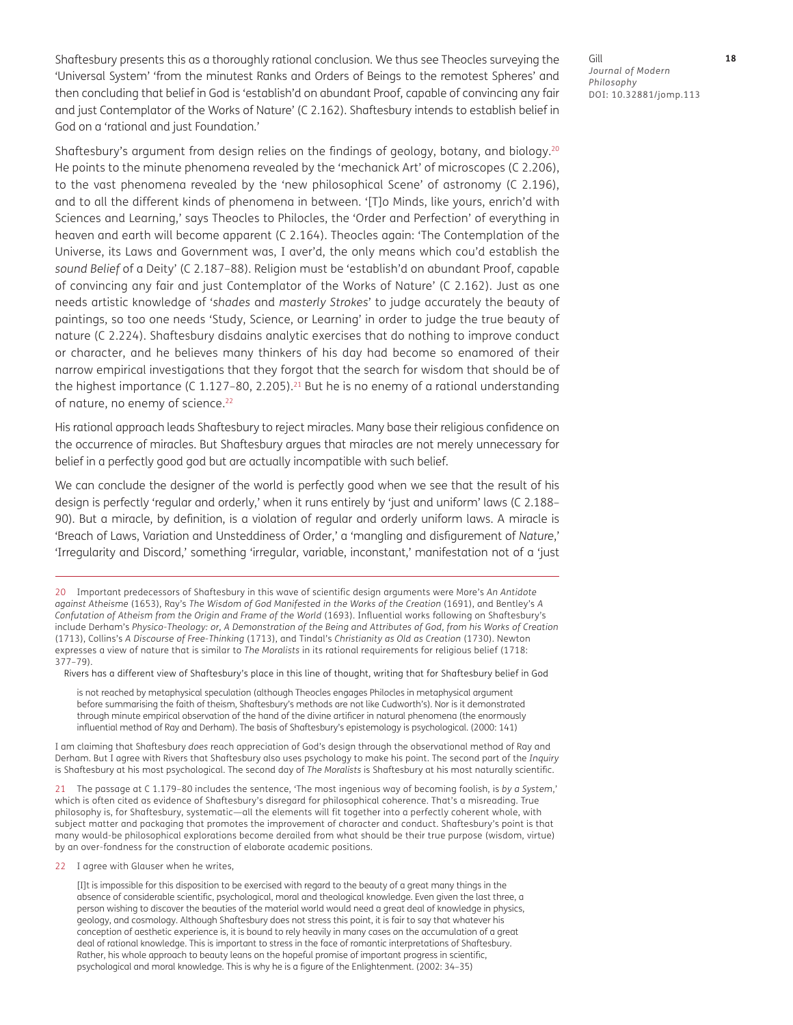Shaftesbury presents this as a thoroughly rational conclusion. We thus see Theocles surveying the 'Universal System' 'from the minutest Ranks and Orders of Beings to the remotest Spheres' and then concluding that belief in God is 'establish'd on abundant Proof, capable of convincing any fair and just Contemplator of the Works of Nature' (C 2.162). Shaftesbury intends to establish belief in God on a 'rational and just Foundation.'

Shaftesbury's argument from design relies on the findings of geology, botany, and biology.<sup>20</sup> He points to the minute phenomena revealed by the 'mechanick Art' of microscopes (C 2.206), to the vast phenomena revealed by the 'new philosophical Scene' of astronomy (C 2.196), and to all the different kinds of phenomena in between. '[T]o Minds, like yours, enrich'd with Sciences and Learning,' says Theocles to Philocles, the 'Order and Perfection' of everything in heaven and earth will become apparent (C 2.164). Theocles again: 'The Contemplation of the Universe, its Laws and Government was, I aver'd, the only means which cou'd establish the *sound Belief* of a Deity' (C 2.187–88). Religion must be 'establish'd on abundant Proof, capable of convincing any fair and just Contemplator of the Works of Nature' (C 2.162). Just as one needs artistic knowledge of '*shades* and *masterly Strokes*' to judge accurately the beauty of paintings, so too one needs 'Study, Science, or Learning' in order to judge the true beauty of nature (C 2.224). Shaftesbury disdains analytic exercises that do nothing to improve conduct or character, and he believes many thinkers of his day had become so enamored of their narrow empirical investigations that they forgot that the search for wisdom that should be of the highest importance (C 1.127-80, 2.205).<sup>21</sup> But he is no enemy of a rational understanding of nature, no enemy of science.<sup>22</sup>

His rational approach leads Shaftesbury to reject miracles. Many base their religious confidence on the occurrence of miracles. But Shaftesbury argues that miracles are not merely unnecessary for belief in a perfectly good god but are actually incompatible with such belief.

We can conclude the designer of the world is perfectly good when we see that the result of his design is perfectly 'regular and orderly,' when it runs entirely by 'just and uniform' laws (C 2.188– 90). But a miracle, by definition, is a violation of regular and orderly uniform laws. A miracle is 'Breach of Laws, Variation and Unsteddiness of Order,' a 'mangling and disfigurement of *Nature*,' 'Irregularity and Discord,' something 'irregular, variable, inconstant,' manifestation not of a 'just

20 Important predecessors of Shaftesbury in this wave of scientific design arguments were More's *An Antidote against Atheisme* (1653), Ray's *The Wisdom of God Manifested in the Works of the Creation* (1691), and Bentley's *A Confutation of Atheism from the Origin and Frame of the World* (1693). Influential works following on Shaftesbury's include Derham's *Physico-Theology: or, A Demonstration of the Being and Attributes of God, from his Works of Creation*  (1713), Collins's *A Discourse of Free-Thinking* (1713), and Tindal's *Christianity as Old as Creation* (1730). Newton expresses a view of nature that is similar to *The Moralists* in its rational requirements for religious belief (1718: 377–79).

Rivers has a different view of Shaftesbury's place in this line of thought, writing that for Shaftesbury belief in God

is not reached by metaphysical speculation (although Theocles engages Philocles in metaphysical argument before summarising the faith of theism, Shaftesbury's methods are not like Cudworth's). Nor is it demonstrated through minute empirical observation of the hand of the divine artificer in natural phenomena (the enormously influential method of Ray and Derham). The basis of Shaftesbury's epistemology is psychological. (2000: 141)

I am claiming that Shaftesbury *does* reach appreciation of God's design through the observational method of Ray and Derham. But I agree with Rivers that Shaftesbury also uses psychology to make his point. The second part of the *Inquiry* is Shaftesbury at his most psychological. The second day of *The Moralists* is Shaftesbury at his most naturally scientific.

21 The passage at C 1.179–80 includes the sentence, 'The most ingenious way of becoming foolish, is *by a System*,' which is often cited as evidence of Shaftesbury's disregard for philosophical coherence. That's a misreading. True philosophy is, for Shaftesbury, systematic—all the elements will fit together into a perfectly coherent whole, with subject matter and packaging that promotes the improvement of character and conduct. Shaftesbury's point is that many would-be philosophical explorations become derailed from what should be their true purpose (wisdom, virtue) by an over-fondness for the construction of elaborate academic positions.

22 I agree with Glauser when he writes,

[I]t is impossible for this disposition to be exercised with regard to the beauty of a great many things in the absence of considerable scientific, psychological, moral and theological knowledge. Even given the last three, a person wishing to discover the beauties of the material world would need a great deal of knowledge in physics, geology, and cosmology. Although Shaftesbury does not stress this point, it is fair to say that whatever his conception of aesthetic experience is, it is bound to rely heavily in many cases on the accumulation of a great deal of rational knowledge. This is important to stress in the face of romantic interpretations of Shaftesbury. Rather, his whole approach to beauty leans on the hopeful promise of important progress in scientific, psychological and moral knowledge. This is why he is a figure of the Enlightenment. (2002: 34–35)

Gill **18** *Journal of Modern Philosophy* DOI: 10.32881/jomp.113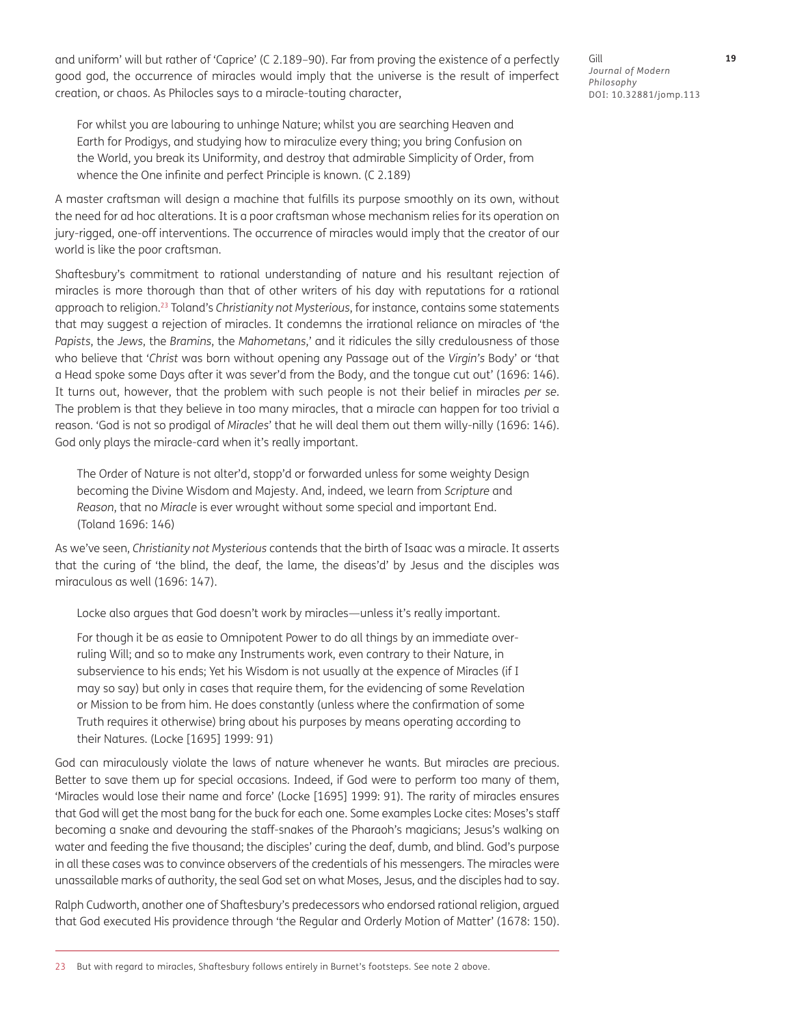and uniform' will but rather of 'Caprice' (C 2.189–90). Far from proving the existence of a perfectly good god, the occurrence of miracles would imply that the universe is the result of imperfect creation, or chaos. As Philocles says to a miracle-touting character,

For whilst you are labouring to unhinge Nature; whilst you are searching Heaven and Earth for Prodigys, and studying how to miraculize every thing; you bring Confusion on the World, you break its Uniformity, and destroy that admirable Simplicity of Order, from whence the One infinite and perfect Principle is known. (C 2.189)

A master craftsman will design a machine that fulfills its purpose smoothly on its own, without the need for ad hoc alterations. It is a poor craftsman whose mechanism relies for its operation on jury-rigged, one-off interventions. The occurrence of miracles would imply that the creator of our world is like the poor craftsman.

Shaftesbury's commitment to rational understanding of nature and his resultant rejection of miracles is more thorough than that of other writers of his day with reputations for a rational approach to religion.23 Toland's *Christianity not Mysterious*, for instance, contains some statements that may suggest a rejection of miracles. It condemns the irrational reliance on miracles of 'the *Papists*, the *Jews*, the *Bramins*, the *Mahometans*,' and it ridicules the silly credulousness of those who believe that '*Christ* was born without opening any Passage out of the *Virgin's* Body' or 'that a Head spoke some Days after it was sever'd from the Body, and the tongue cut out' (1696: 146). It turns out, however, that the problem with such people is not their belief in miracles *per se*. The problem is that they believe in too many miracles, that a miracle can happen for too trivial a reason. 'God is not so prodigal of *Miracles*' that he will deal them out them willy-nilly (1696: 146). God only plays the miracle-card when it's really important.

The Order of Nature is not alter'd, stopp'd or forwarded unless for some weighty Design becoming the Divine Wisdom and Majesty. And, indeed, we learn from *Scripture* and *Reason*, that no *Miracle* is ever wrought without some special and important End. (Toland 1696: 146)

As we've seen, *Christianity not Mysterious* contends that the birth of Isaac was a miracle. It asserts that the curing of 'the blind, the deaf, the lame, the diseas'd' by Jesus and the disciples was miraculous as well (1696: 147).

Locke also argues that God doesn't work by miracles—unless it's really important.

For though it be as easie to Omnipotent Power to do all things by an immediate overruling Will; and so to make any Instruments work, even contrary to their Nature, in subservience to his ends; Yet his Wisdom is not usually at the expence of Miracles (if I may so say) but only in cases that require them, for the evidencing of some Revelation or Mission to be from him. He does constantly (unless where the confirmation of some Truth requires it otherwise) bring about his purposes by means operating according to their Natures. (Locke [1695] 1999: 91)

God can miraculously violate the laws of nature whenever he wants. But miracles are precious. Better to save them up for special occasions. Indeed, if God were to perform too many of them, 'Miracles would lose their name and force' (Locke [1695] 1999: 91). The rarity of miracles ensures that God will get the most bang for the buck for each one. Some examples Locke cites: Moses's staff becoming a snake and devouring the staff-snakes of the Pharaoh's magicians; Jesus's walking on water and feeding the five thousand; the disciples' curing the deaf, dumb, and blind. God's purpose in all these cases was to convince observers of the credentials of his messengers. The miracles were unassailable marks of authority, the seal God set on what Moses, Jesus, and the disciples had to say.

Ralph Cudworth, another one of Shaftesbury's predecessors who endorsed rational religion, argued that God executed His providence through 'the Regular and Orderly Motion of Matter' (1678: 150).

Gill **19** *Journal of Modern Philosophy* DOI: 10.32881/jomp.113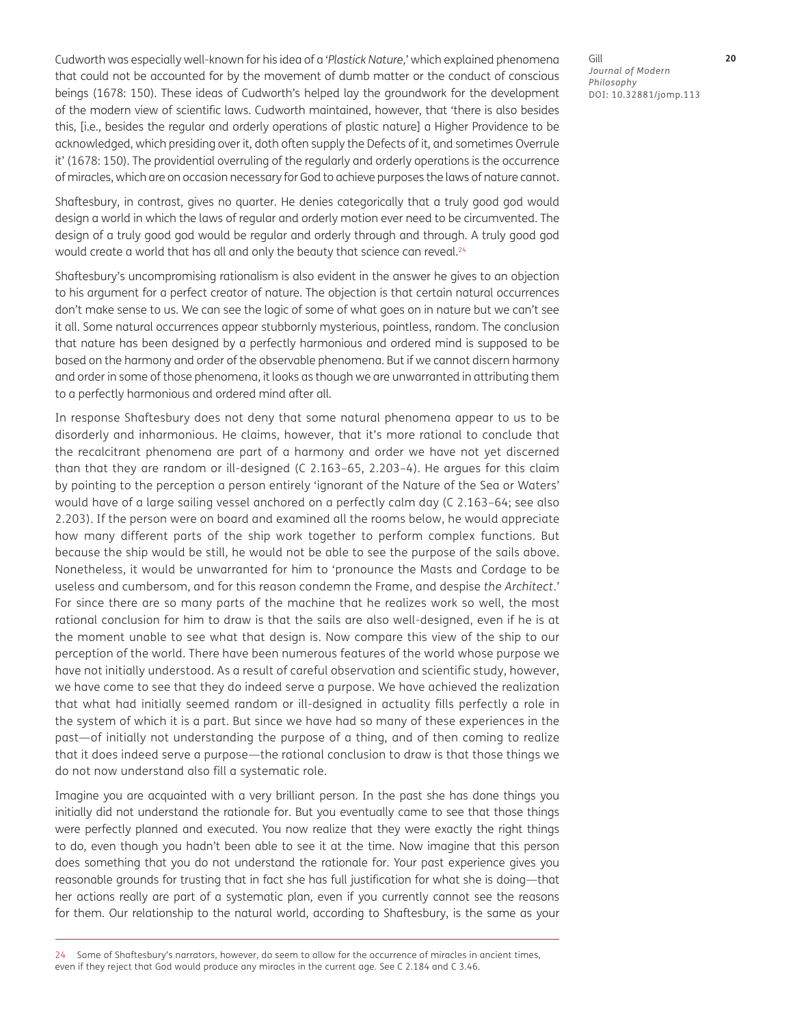Cudworth was especially well-known for his idea of a '*Plastick Nature*,' which explained phenomena that could not be accounted for by the movement of dumb matter or the conduct of conscious beings (1678: 150). These ideas of Cudworth's helped lay the groundwork for the development of the modern view of scientific laws. Cudworth maintained, however, that 'there is also besides this, [i.e., besides the regular and orderly operations of plastic nature] a Higher Providence to be acknowledged, which presiding over it, doth often supply the Defects of it, and sometimes Overrule it' (1678: 150). The providential overruling of the regularly and orderly operations is the occurrence of miracles, which are on occasion necessary for God to achieve purposes the laws of nature cannot.

Shaftesbury, in contrast, gives no quarter. He denies categorically that a truly good god would design a world in which the laws of regular and orderly motion ever need to be circumvented. The design of a truly good god would be regular and orderly through and through. A truly good god would create a world that has all and only the beauty that science can reveal.<sup>24</sup>

Shaftesbury's uncompromising rationalism is also evident in the answer he gives to an objection to his argument for a perfect creator of nature. The objection is that certain natural occurrences don't make sense to us. We can see the logic of some of what goes on in nature but we can't see it all. Some natural occurrences appear stubbornly mysterious, pointless, random. The conclusion that nature has been designed by a perfectly harmonious and ordered mind is supposed to be based on the harmony and order of the observable phenomena. But if we cannot discern harmony and order in some of those phenomena, it looks as though we are unwarranted in attributing them to a perfectly harmonious and ordered mind after all.

In response Shaftesbury does not deny that some natural phenomena appear to us to be disorderly and inharmonious. He claims, however, that it's more rational to conclude that the recalcitrant phenomena are part of a harmony and order we have not yet discerned than that they are random or ill-designed (C 2.163–65, 2.203–4). He argues for this claim by pointing to the perception a person entirely 'ignorant of the Nature of the Sea or Waters' would have of a large sailing vessel anchored on a perfectly calm day (C 2.163–64; see also 2.203). If the person were on board and examined all the rooms below, he would appreciate how many different parts of the ship work together to perform complex functions. But because the ship would be still, he would not be able to see the purpose of the sails above. Nonetheless, it would be unwarranted for him to 'pronounce the Masts and Cordage to be useless and cumbersom, and for this reason condemn the Frame, and despise *the Architect*.' For since there are so many parts of the machine that he realizes work so well, the most rational conclusion for him to draw is that the sails are also well-designed, even if he is at the moment unable to see what that design is. Now compare this view of the ship to our perception of the world. There have been numerous features of the world whose purpose we have not initially understood. As a result of careful observation and scientific study, however, we have come to see that they do indeed serve a purpose. We have achieved the realization that what had initially seemed random or ill-designed in actuality fills perfectly a role in the system of which it is a part. But since we have had so many of these experiences in the past—of initially not understanding the purpose of a thing, and of then coming to realize that it does indeed serve a purpose—the rational conclusion to draw is that those things we do not now understand also fill a systematic role.

Imagine you are acquainted with a very brilliant person. In the past she has done things you initially did not understand the rationale for. But you eventually came to see that those things were perfectly planned and executed. You now realize that they were exactly the right things to do, even though you hadn't been able to see it at the time. Now imagine that this person does something that you do not understand the rationale for. Your past experience gives you reasonable grounds for trusting that in fact she has full justification for what she is doing—that her actions really are part of a systematic plan, even if you currently cannot see the reasons for them. Our relationship to the natural world, according to Shaftesbury, is the same as your

Some of Shaftesbury's narrators, however, do seem to allow for the occurrence of miracles in ancient times, even if they reject that God would produce any miracles in the current age. See C 2.184 and C 3.46.

Gill **20** *Journal of Modern Philosophy* DOI: 10.32881/jomp.113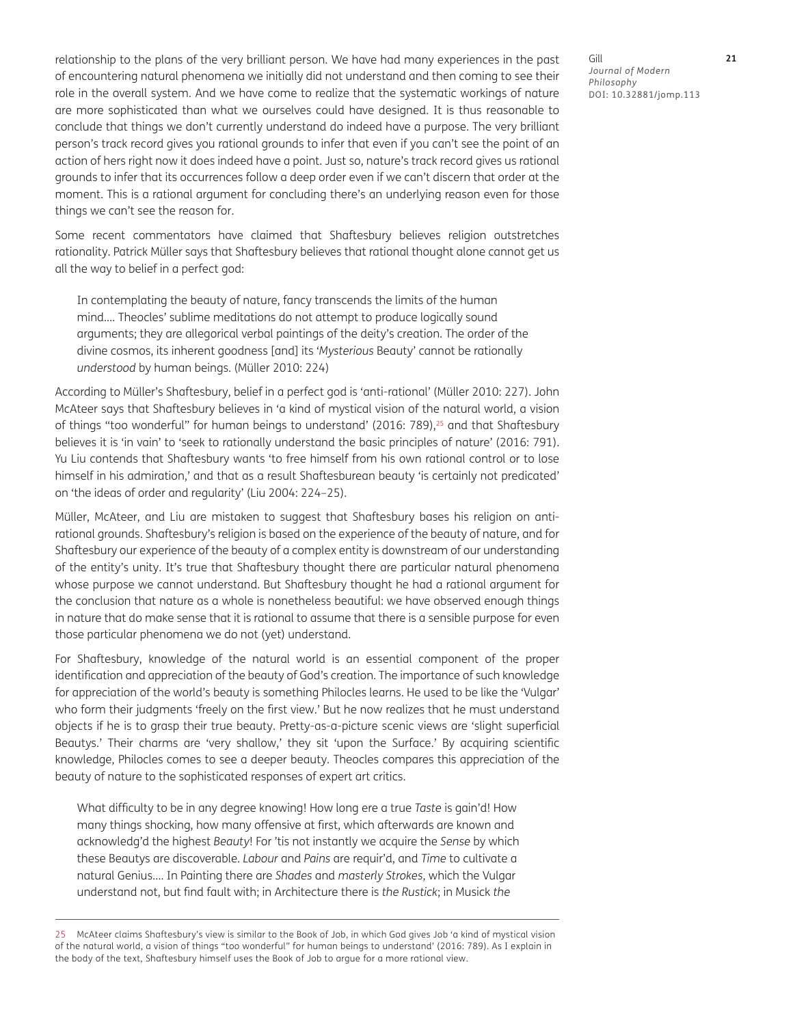relationship to the plans of the very brilliant person. We have had many experiences in the past of encountering natural phenomena we initially did not understand and then coming to see their role in the overall system. And we have come to realize that the systematic workings of nature are more sophisticated than what we ourselves could have designed. It is thus reasonable to conclude that things we don't currently understand do indeed have a purpose. The very brilliant person's track record gives you rational grounds to infer that even if you can't see the point of an action of hers right now it does indeed have a point. Just so, nature's track record gives us rational grounds to infer that its occurrences follow a deep order even if we can't discern that order at the moment. This is a rational argument for concluding there's an underlying reason even for those things we can't see the reason for.

Some recent commentators have claimed that Shaftesbury believes religion outstretches rationality. Patrick Müller says that Shaftesbury believes that rational thought alone cannot get us all the way to belief in a perfect god:

In contemplating the beauty of nature, fancy transcends the limits of the human mind.… Theocles' sublime meditations do not attempt to produce logically sound arguments; they are allegorical verbal paintings of the deity's creation. The order of the divine cosmos, its inherent goodness [and] its '*Mysterious* Beauty' cannot be rationally *understood* by human beings. (Müller 2010: 224)

According to Müller's Shaftesbury, belief in a perfect god is 'anti-rational' (Müller 2010: 227). John McAteer says that Shaftesbury believes in 'a kind of mystical vision of the natural world, a vision of things "too wonderful" for human beings to understand' (2016: 789), $^{25}$  and that Shaftesbury believes it is 'in vain' to 'seek to rationally understand the basic principles of nature' (2016: 791). Yu Liu contends that Shaftesbury wants 'to free himself from his own rational control or to lose himself in his admiration,' and that as a result Shaftesburean beauty 'is certainly not predicated' on 'the ideas of order and regularity' (Liu 2004: 224–25).

Müller, McAteer, and Liu are mistaken to suggest that Shaftesbury bases his religion on antirational grounds. Shaftesbury's religion is based on the experience of the beauty of nature, and for Shaftesbury our experience of the beauty of a complex entity is downstream of our understanding of the entity's unity. It's true that Shaftesbury thought there are particular natural phenomena whose purpose we cannot understand. But Shaftesbury thought he had a rational argument for the conclusion that nature as a whole is nonetheless beautiful: we have observed enough things in nature that do make sense that it is rational to assume that there is a sensible purpose for even those particular phenomena we do not (yet) understand.

For Shaftesbury, knowledge of the natural world is an essential component of the proper identification and appreciation of the beauty of God's creation. The importance of such knowledge for appreciation of the world's beauty is something Philocles learns. He used to be like the 'Vulgar' who form their judgments 'freely on the first view.' But he now realizes that he must understand objects if he is to grasp their true beauty. Pretty-as-a-picture scenic views are 'slight superficial Beautys.' Their charms are 'very shallow,' they sit 'upon the Surface.' By acquiring scientific knowledge, Philocles comes to see a deeper beauty. Theocles compares this appreciation of the beauty of nature to the sophisticated responses of expert art critics.

What difficulty to be in any degree knowing! How long ere a true *Taste* is gain'd! How many things shocking, how many offensive at first, which afterwards are known and acknowledg'd the highest *Beauty*! For 'tis not instantly we acquire the *Sense* by which these Beautys are discoverable. *Labour* and *Pains* are requir'd, and *Time* to cultivate a natural Genius.… In Painting there are *Shades* and *masterly Strokes*, which the Vulgar understand not, but find fault with; in Architecture there is *the Rustick*; in Musick *the* 

25 McAteer claims Shaftesbury's view is similar to the Book of Job, in which God gives Job 'a kind of mystical vision of the natural world, a vision of things "too wonderful" for human beings to understand' (2016: 789). As I explain in the body of the text, Shaftesbury himself uses the Book of Job to argue for a more rational view.

Gill **21** *Journal of Modern Philosophy* DOI: 10.32881/jomp.113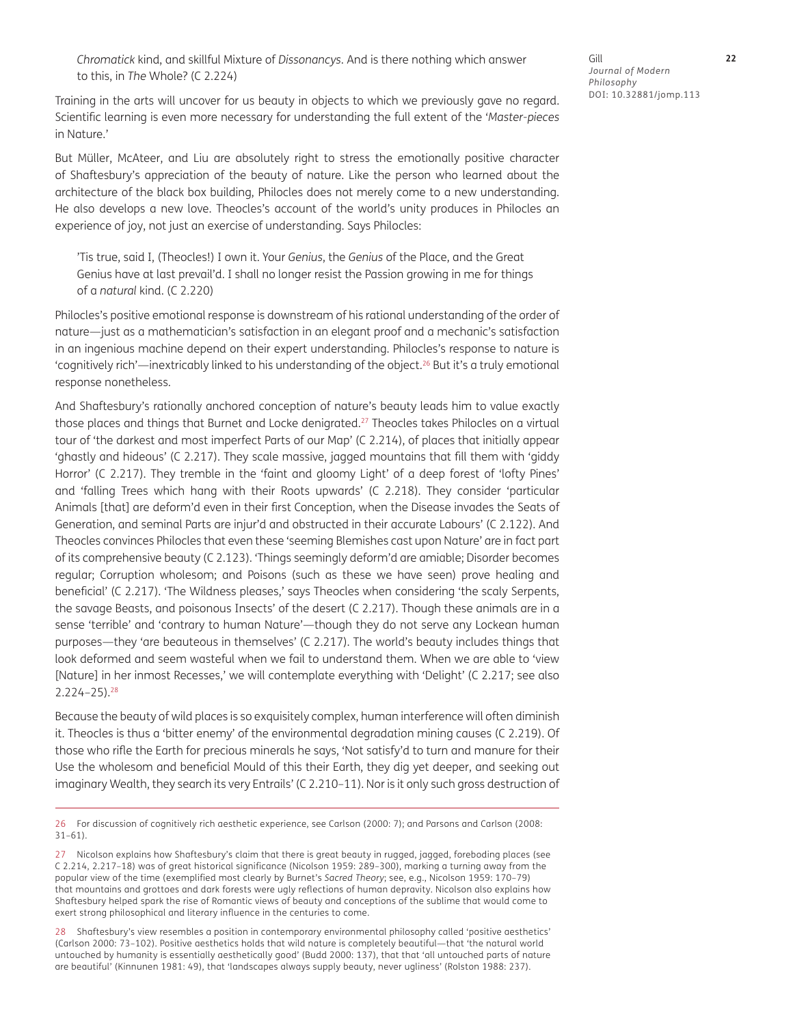*Chromatick* kind, and skillful Mixture of *Dissonancys*. And is there nothing which answer to this, in *The* Whole? (C 2.224)

Training in the arts will uncover for us beauty in objects to which we previously gave no regard. Scientific learning is even more necessary for understanding the full extent of the '*Master-pieces* in Nature.'

But Müller, McAteer, and Liu are absolutely right to stress the emotionally positive character of Shaftesbury's appreciation of the beauty of nature. Like the person who learned about the architecture of the black box building, Philocles does not merely come to a new understanding. He also develops a new love. Theocles's account of the world's unity produces in Philocles an experience of joy, not just an exercise of understanding. Says Philocles:

'Tis true, said I, (Theocles!) I own it. Your *Genius*, the *Genius* of the Place, and the Great Genius have at last prevail'd. I shall no longer resist the Passion growing in me for things of a *natural* kind. (C 2.220)

Philocles's positive emotional response is downstream of his rational understanding of the order of nature—just as a mathematician's satisfaction in an elegant proof and a mechanic's satisfaction in an ingenious machine depend on their expert understanding. Philocles's response to nature is 'cognitively rich'—inextricably linked to his understanding of the object.26 But it's a truly emotional response nonetheless.

And Shaftesbury's rationally anchored conception of nature's beauty leads him to value exactly those places and things that Burnet and Locke denigrated.<sup>27</sup> Theocles takes Philocles on a virtual tour of 'the darkest and most imperfect Parts of our Map' (C 2.214), of places that initially appear 'ghastly and hideous' (C 2.217). They scale massive, jagged mountains that fill them with 'giddy Horror' (C 2.217). They tremble in the 'faint and gloomy Light' of a deep forest of 'lofty Pines' and 'falling Trees which hang with their Roots upwards' (C 2.218). They consider 'particular Animals [that] are deform'd even in their first Conception, when the Disease invades the Seats of Generation, and seminal Parts are injur'd and obstructed in their accurate Labours' (C 2.122). And Theocles convinces Philocles that even these 'seeming Blemishes cast upon Nature' are in fact part of its comprehensive beauty (C 2.123). 'Things seemingly deform'd are amiable; Disorder becomes regular; Corruption wholesom; and Poisons (such as these we have seen) prove healing and beneficial' (C 2.217). 'The Wildness pleases,' says Theocles when considering 'the scaly Serpents, the savage Beasts, and poisonous Insects' of the desert (C 2.217). Though these animals are in a sense 'terrible' and 'contrary to human Nature'—though they do not serve any Lockean human purposes—they 'are beauteous in themselves' (C 2.217). The world's beauty includes things that look deformed and seem wasteful when we fail to understand them. When we are able to 'view [Nature] in her inmost Recesses,' we will contemplate everything with 'Delight' (C 2.217; see also 2.224–25).28

Because the beauty of wild places is so exquisitely complex, human interference will often diminish it. Theocles is thus a 'bitter enemy' of the environmental degradation mining causes (C 2.219). Of those who rifle the Earth for precious minerals he says, 'Not satisfy'd to turn and manure for their Use the wholesom and beneficial Mould of this their Earth, they dig yet deeper, and seeking out imaginary Wealth, they search its very Entrails' (C 2.210–11). Nor is it only such gross destruction of

<sup>26</sup> For discussion of cognitively rich aesthetic experience, see Carlson (2000: 7); and Parsons and Carlson (2008: 31–61).

<sup>27</sup> Nicolson explains how Shaftesbury's claim that there is great beauty in rugged, jagged, foreboding places (see C 2.214, 2.217–18) was of great historical significance (Nicolson 1959: 289–300), marking a turning away from the popular view of the time (exemplified most clearly by Burnet's *Sacred Theory*; see, e.g., Nicolson 1959: 170–79) that mountains and grottoes and dark forests were ugly reflections of human depravity. Nicolson also explains how Shaftesbury helped spark the rise of Romantic views of beauty and conceptions of the sublime that would come to exert strong philosophical and literary influence in the centuries to come.

<sup>28</sup> Shaftesbury's view resembles a position in contemporary environmental philosophy called 'positive aesthetics' (Carlson 2000: 73–102). Positive aesthetics holds that wild nature is completely beautiful—that 'the natural world untouched by humanity is essentially aesthetically good' (Budd 2000: 137), that that 'all untouched parts of nature are beautiful' (Kinnunen 1981: 49), that 'landscapes always supply beauty, never ugliness' (Rolston 1988: 237).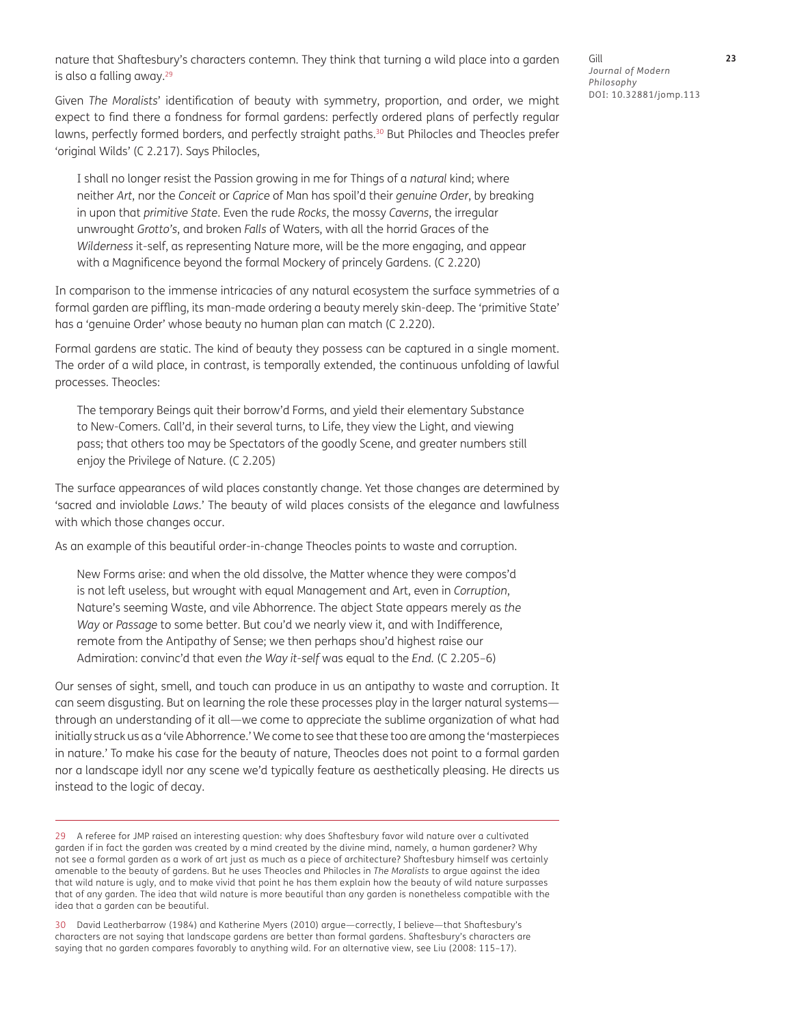nature that Shaftesbury's characters contemn. They think that turning a wild place into a garden is also a falling away.<sup>29</sup>

Given *The Moralists*' identification of beauty with symmetry, proportion, and order, we might expect to find there a fondness for formal gardens: perfectly ordered plans of perfectly regular lawns, perfectly formed borders, and perfectly straight paths.<sup>30</sup> But Philocles and Theocles prefer 'original Wilds' (C 2.217). Says Philocles,

I shall no longer resist the Passion growing in me for Things of a *natural* kind; where neither *Art*, nor the *Conceit* or *Caprice* of Man has spoil'd their *genuine Order*, by breaking in upon that *primitive State*. Even the rude *Rocks*, the mossy *Caverns*, the irregular unwrought *Grotto's*, and broken *Falls* of Waters, with all the horrid Graces of the *Wilderness* it-self, as representing Nature more, will be the more engaging, and appear with a Magnificence beyond the formal Mockery of princely Gardens. (C 2.220)

In comparison to the immense intricacies of any natural ecosystem the surface symmetries of a formal garden are piffling, its man-made ordering a beauty merely skin-deep. The 'primitive State' has a 'genuine Order' whose beauty no human plan can match (C 2.220).

Formal gardens are static. The kind of beauty they possess can be captured in a single moment. The order of a wild place, in contrast, is temporally extended, the continuous unfolding of lawful processes. Theocles:

The temporary Beings quit their borrow'd Forms, and yield their elementary Substance to New-Comers. Call'd, in their several turns, to Life, they view the Light, and viewing pass; that others too may be Spectators of the goodly Scene, and greater numbers still enjoy the Privilege of Nature. (C 2.205)

The surface appearances of wild places constantly change. Yet those changes are determined by 'sacred and inviolable *Laws*.' The beauty of wild places consists of the elegance and lawfulness with which those changes occur.

As an example of this beautiful order-in-change Theocles points to waste and corruption.

New Forms arise: and when the old dissolve, the Matter whence they were compos'd is not left useless, but wrought with equal Management and Art, even in *Corruption*, Nature's seeming Waste, and vile Abhorrence. The abject State appears merely as *the Way* or *Passage* to some better. But cou'd we nearly view it, and with Indifference, remote from the Antipathy of Sense; we then perhaps shou'd highest raise our Admiration: convinc'd that even *the Way it-self* was equal to the *End.* (C 2.205–6)

Our senses of sight, smell, and touch can produce in us an antipathy to waste and corruption. It can seem disgusting. But on learning the role these processes play in the larger natural systems through an understanding of it all—we come to appreciate the sublime organization of what had initially struck us as a 'vile Abhorrence.' We come to see that these too are among the 'masterpieces in nature.' To make his case for the beauty of nature, Theocles does not point to a formal garden nor a landscape idyll nor any scene we'd typically feature as aesthetically pleasing. He directs us instead to the logic of decay.

Gill **23** *Journal of Modern Philosophy* DOI: 10.32881/jomp.113

<sup>29</sup> A referee for JMP raised an interesting question: why does Shaftesbury favor wild nature over a cultivated garden if in fact the garden was created by a mind created by the divine mind, namely, a human gardener? Why not see a formal garden as a work of art just as much as a piece of architecture? Shaftesbury himself was certainly amenable to the beauty of gardens. But he uses Theocles and Philocles in *The Moralists* to argue against the idea that wild nature is ugly, and to make vivid that point he has them explain how the beauty of wild nature surpasses that of any garden. The idea that wild nature is more beautiful than any garden is nonetheless compatible with the idea that a garden can be beautiful.

<sup>30</sup> David Leatherbarrow (1984) and Katherine Myers (2010) argue—correctly, I believe—that Shaftesbury's characters are not saying that landscape gardens are better than formal gardens. Shaftesbury's characters are saying that no garden compares favorably to anything wild. For an alternative view, see Liu (2008: 115–17).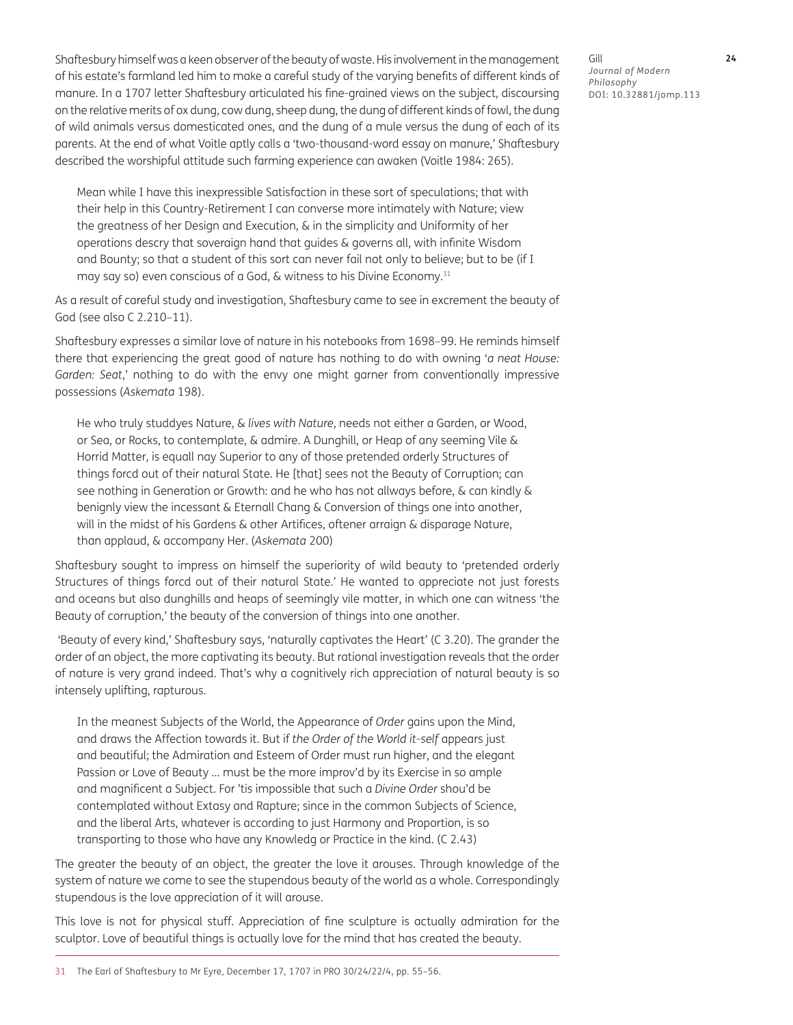Shaftesbury himself was a keen observer of the beauty of waste. His involvement in the management of his estate's farmland led him to make a careful study of the varying benefits of different kinds of manure. In a 1707 letter Shaftesbury articulated his fine-grained views on the subject, discoursing on the relative merits of ox dung, cow dung, sheep dung, the dung of different kinds of fowl, the dung of wild animals versus domesticated ones, and the dung of a mule versus the dung of each of its parents. At the end of what Voitle aptly calls a 'two-thousand-word essay on manure,' Shaftesbury described the worshipful attitude such farming experience can awaken (Voitle 1984: 265).

Mean while I have this inexpressible Satisfaction in these sort of speculations; that with their help in this Country-Retirement I can converse more intimately with Nature; view the greatness of her Design and Execution, & in the simplicity and Uniformity of her operations descry that soveraign hand that guides & governs all, with infinite Wisdom and Bounty; so that a student of this sort can never fail not only to believe; but to be (if I may say so) even conscious of a God, & witness to his Divine Economy.31

As a result of careful study and investigation, Shaftesbury came to see in excrement the beauty of God (see also C 2.210–11).

Shaftesbury expresses a similar love of nature in his notebooks from 1698–99. He reminds himself there that experiencing the great good of nature has nothing to do with owning '*a neat House: Garden: Seat*,' nothing to do with the envy one might garner from conventionally impressive possessions (*Askemata* 198).

He who truly studdyes Nature, & *lives with Nature*, needs not either a Garden, or Wood, or Sea, or Rocks, to contemplate, & admire. A Dunghill, or Heap of any seeming Vile & Horrid Matter, is equall nay Superior to any of those pretended orderly Structures of things forcd out of their natural State. He [that] sees not the Beauty of Corruption; can see nothing in Generation or Growth: and he who has not allways before, & can kindly & benignly view the incessant & Eternall Chang & Conversion of things one into another, will in the midst of his Gardens & other Artifices, oftener arraign & disparage Nature, than applaud, & accompany Her. (*Askemata* 200)

Shaftesbury sought to impress on himself the superiority of wild beauty to 'pretended orderly Structures of things forcd out of their natural State.' He wanted to appreciate not just forests and oceans but also dunghills and heaps of seemingly vile matter, in which one can witness 'the Beauty of corruption,' the beauty of the conversion of things into one another.

 'Beauty of every kind,' Shaftesbury says, 'naturally captivates the Heart' (C 3.20). The grander the order of an object, the more captivating its beauty. But rational investigation reveals that the order of nature is very grand indeed. That's why a cognitively rich appreciation of natural beauty is so intensely uplifting, rapturous.

In the meanest Subjects of the World, the Appearance of *Order* gains upon the Mind, and draws the Affection towards it. But if *the Order of the World it-self* appears just and beautiful; the Admiration and Esteem of Order must run higher, and the elegant Passion or Love of Beauty … must be the more improv'd by its Exercise in so ample and magnificent a Subject. For 'tis impossible that such a *Divine Order* shou'd be contemplated without Extasy and Rapture; since in the common Subjects of Science, and the liberal Arts, whatever is according to just Harmony and Proportion, is so transporting to those who have any Knowledg or Practice in the kind. (C 2.43)

The greater the beauty of an object, the greater the love it arouses. Through knowledge of the system of nature we come to see the stupendous beauty of the world as a whole. Correspondingly stupendous is the love appreciation of it will arouse.

This love is not for physical stuff. Appreciation of fine sculpture is actually admiration for the sculptor. Love of beautiful things is actually love for the mind that has created the beauty.

Gill **24** *Journal of Modern Philosophy* DOI: 10.32881/jomp.113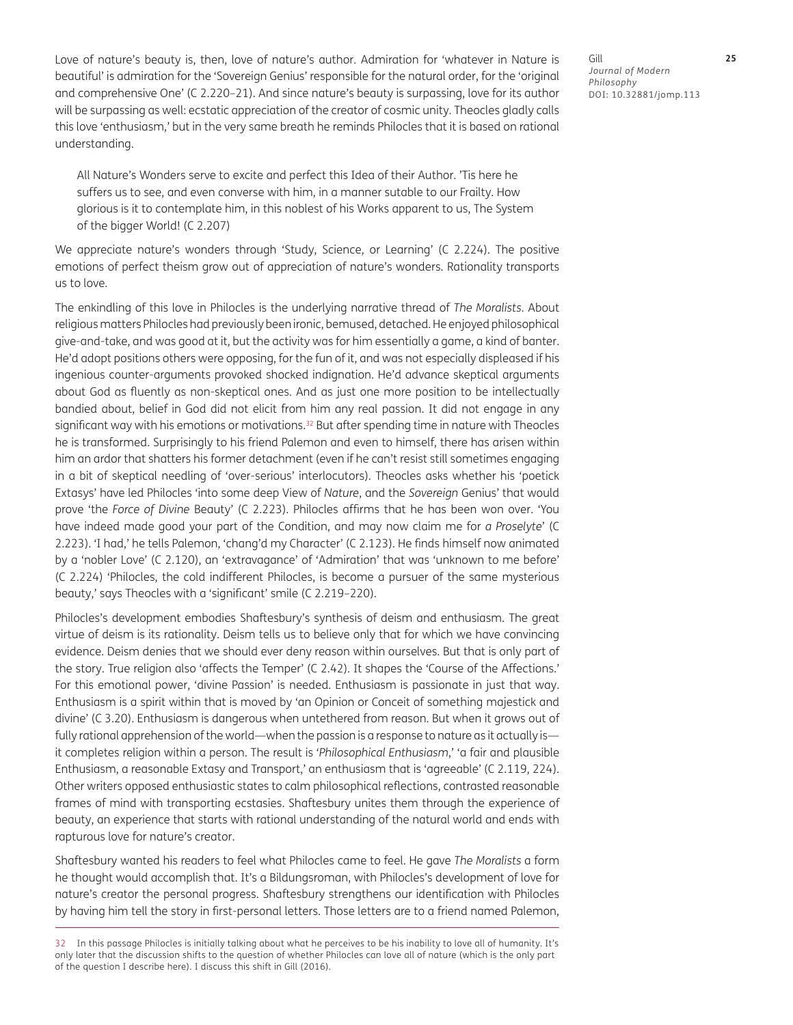Love of nature's beauty is, then, love of nature's author. Admiration for 'whatever in Nature is beautiful' is admiration for the 'Sovereign Genius' responsible for the natural order, for the 'original and comprehensive One' (C 2.220–21). And since nature's beauty is surpassing, love for its author will be surpassing as well: ecstatic appreciation of the creator of cosmic unity. Theocles gladly calls this love 'enthusiasm,' but in the very same breath he reminds Philocles that it is based on rational understanding.

All Nature's Wonders serve to excite and perfect this Idea of their Author. 'Tis here he suffers us to see, and even converse with him, in a manner sutable to our Frailty. How glorious is it to contemplate him, in this noblest of his Works apparent to us, The System of the bigger World! (C 2.207)

We appreciate nature's wonders through 'Study, Science, or Learning' (C 2.224). The positive emotions of perfect theism grow out of appreciation of nature's wonders. Rationality transports us to love.

The enkindling of this love in Philocles is the underlying narrative thread of *The Moralists*. About religious matters Philocles had previously been ironic, bemused, detached. He enjoyed philosophical give-and-take, and was good at it, but the activity was for him essentially a game, a kind of banter. He'd adopt positions others were opposing, for the fun of it, and was not especially displeased if his ingenious counter-arguments provoked shocked indignation. He'd advance skeptical arguments about God as fluently as non-skeptical ones. And as just one more position to be intellectually bandied about, belief in God did not elicit from him any real passion. It did not engage in any significant way with his emotions or motivations. $32$  But after spending time in nature with Theocles he is transformed. Surprisingly to his friend Palemon and even to himself, there has arisen within him an ardor that shatters his former detachment (even if he can't resist still sometimes engaging in a bit of skeptical needling of 'over-serious' interlocutors). Theocles asks whether his 'poetick Extasys' have led Philocles 'into some deep View of *Nature*, and the *Sovereign* Genius' that would prove 'the *Force of Divine* Beauty' (C 2.223). Philocles affirms that he has been won over. 'You have indeed made good your part of the Condition, and may now claim me for *a Proselyte*' (C 2.223). 'I had,' he tells Palemon, 'chang'd my Character' (C 2.123). He finds himself now animated by a 'nobler Love' (C 2.120), an 'extravagance' of 'Admiration' that was 'unknown to me before' (C 2.224) 'Philocles, the cold indifferent Philocles, is become a pursuer of the same mysterious beauty,' says Theocles with a 'significant' smile (C 2.219–220).

Philocles's development embodies Shaftesbury's synthesis of deism and enthusiasm. The great virtue of deism is its rationality. Deism tells us to believe only that for which we have convincing evidence. Deism denies that we should ever deny reason within ourselves. But that is only part of the story. True religion also 'affects the Temper' (C 2.42). It shapes the 'Course of the Affections.' For this emotional power, 'divine Passion' is needed. Enthusiasm is passionate in just that way. Enthusiasm is a spirit within that is moved by 'an Opinion or Conceit of something majestick and divine' (C 3.20). Enthusiasm is dangerous when untethered from reason. But when it grows out of fully rational apprehension of the world—when the passion is a response to nature as it actually is it completes religion within a person. The result is '*Philosophical Enthusiasm*,' 'a fair and plausible Enthusiasm, a reasonable Extasy and Transport,' an enthusiasm that is 'agreeable' (C 2.119, 224). Other writers opposed enthusiastic states to calm philosophical reflections, contrasted reasonable frames of mind with transporting ecstasies. Shaftesbury unites them through the experience of beauty, an experience that starts with rational understanding of the natural world and ends with rapturous love for nature's creator.

Shaftesbury wanted his readers to feel what Philocles came to feel. He gave *The Moralists* a form he thought would accomplish that. It's a Bildungsroman, with Philocles's development of love for nature's creator the personal progress. Shaftesbury strengthens our identification with Philocles by having him tell the story in first-personal letters. Those letters are to a friend named Palemon,

32 In this passage Philocles is initially talking about what he perceives to be his inability to love all of humanity. It's only later that the discussion shifts to the question of whether Philocles can love all of nature (which is the only part of the question I describe here). I discuss this shift in Gill (2016).

Gill **25** *Journal of Modern Philosophy* DOI: 10.32881/jomp.113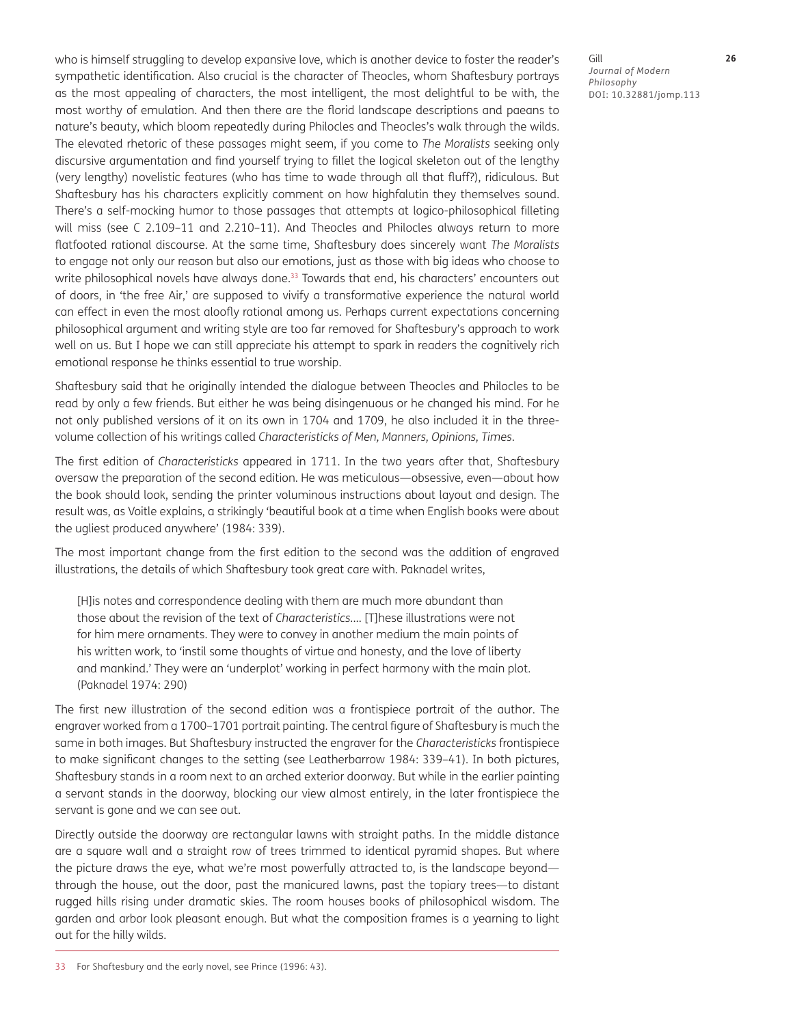who is himself struggling to develop expansive love, which is another device to foster the reader's sympathetic identification. Also crucial is the character of Theocles, whom Shaftesbury portrays as the most appealing of characters, the most intelligent, the most delightful to be with, the most worthy of emulation. And then there are the florid landscape descriptions and paeans to nature's beauty, which bloom repeatedly during Philocles and Theocles's walk through the wilds. The elevated rhetoric of these passages might seem, if you come to *The Moralists* seeking only discursive argumentation and find yourself trying to fillet the logical skeleton out of the lengthy (very lengthy) novelistic features (who has time to wade through all that fluff?), ridiculous. But Shaftesbury has his characters explicitly comment on how highfalutin they themselves sound. There's a self-mocking humor to those passages that attempts at logico-philosophical filleting will miss (see C 2.109–11 and 2.210–11). And Theocles and Philocles always return to more flatfooted rational discourse. At the same time, Shaftesbury does sincerely want *The Moralists* to engage not only our reason but also our emotions, just as those with big ideas who choose to write philosophical novels have always done.<sup>33</sup> Towards that end, his characters' encounters out of doors, in 'the free Air,' are supposed to vivify a transformative experience the natural world can effect in even the most aloofly rational among us. Perhaps current expectations concerning philosophical argument and writing style are too far removed for Shaftesbury's approach to work well on us. But I hope we can still appreciate his attempt to spark in readers the cognitively rich emotional response he thinks essential to true worship.

Shaftesbury said that he originally intended the dialogue between Theocles and Philocles to be read by only a few friends. But either he was being disingenuous or he changed his mind. For he not only published versions of it on its own in 1704 and 1709, he also included it in the threevolume collection of his writings called *Characteristicks of Men, Manners, Opinions, Times*.

The first edition of *Characteristicks* appeared in 1711. In the two years after that, Shaftesbury oversaw the preparation of the second edition. He was meticulous—obsessive, even—about how the book should look, sending the printer voluminous instructions about layout and design. The result was, as Voitle explains, a strikingly 'beautiful book at a time when English books were about the ugliest produced anywhere' (1984: 339).

The most important change from the first edition to the second was the addition of engraved illustrations, the details of which Shaftesbury took great care with. Paknadel writes,

[H]is notes and correspondence dealing with them are much more abundant than those about the revision of the text of *Characteristics.*… [T]hese illustrations were not for him mere ornaments. They were to convey in another medium the main points of his written work, to 'instil some thoughts of virtue and honesty, and the love of liberty and mankind.' They were an 'underplot' working in perfect harmony with the main plot. (Paknadel 1974: 290)

The first new illustration of the second edition was a frontispiece portrait of the author. The engraver worked from a 1700–1701 portrait painting. The central figure of Shaftesbury is much the same in both images. But Shaftesbury instructed the engraver for the *Characteristicks* frontispiece to make significant changes to the setting (see Leatherbarrow 1984: 339–41). In both pictures, Shaftesbury stands in a room next to an arched exterior doorway. But while in the earlier painting a servant stands in the doorway, blocking our view almost entirely, in the later frontispiece the servant is gone and we can see out.

Directly outside the doorway are rectangular lawns with straight paths. In the middle distance are a square wall and a straight row of trees trimmed to identical pyramid shapes. But where the picture draws the eye, what we're most powerfully attracted to, is the landscape beyond through the house, out the door, past the manicured lawns, past the topiary trees—to distant rugged hills rising under dramatic skies. The room houses books of philosophical wisdom. The garden and arbor look pleasant enough. But what the composition frames is a yearning to light out for the hilly wilds.

Gill **26** *Journal of Modern Philosophy* DOI: 10.32881/jomp.113

33 For Shaftesbury and the early novel, see Prince (1996: 43).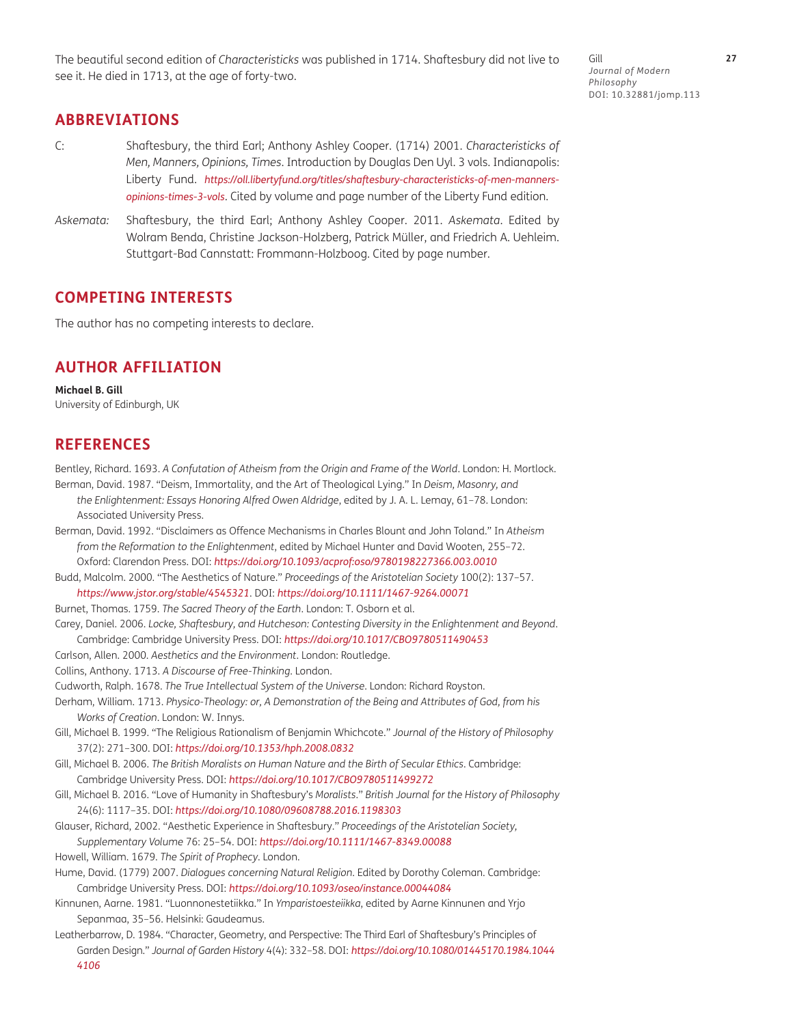The beautiful second edition of *Characteristicks* was published in 1714. Shaftesbury did not live to see it. He died in 1713, at the age of forty-two.

Gill **27** *Journal of Modern Philosophy* DOI: 10.32881/jomp.113

#### **ABBREVIATIONS**

- C: Shaftesbury, the third Earl; Anthony Ashley Cooper. (1714) 2001. *Characteristicks of Men, Manners, Opinions, Times*. Introduction by Douglas Den Uyl. 3 vols. Indianapolis: Liberty Fund. *[https://oll.libertyfund.org/titles/shaftesbury-characteristicks-of-men-manners](https://oll.libertyfund.org/titles/shaftesbury-characteristicks-of-men-manners-opinions-times-3-vols)[opinions-times-3-vols](https://oll.libertyfund.org/titles/shaftesbury-characteristicks-of-men-manners-opinions-times-3-vols)*. Cited by volume and page number of the Liberty Fund edition.
- *Askemata:* Shaftesbury, the third Earl; Anthony Ashley Cooper. 2011. *Askemata*. Edited by Wolram Benda, Christine Jackson-Holzberg, Patrick Müller, and Friedrich A. Uehleim. Stuttgart-Bad Cannstatt: Frommann-Holzboog. Cited by page number.

#### **COMPETING INTERESTS**

The author has no competing interests to declare.

#### **AUTHOR AFFILIATION**

**Michael B. Gill** University of Edinburgh, UK

#### **REFERENCES**

Bentley, Richard. 1693. *A Confutation of Atheism from the Origin and Frame of the World*. London: H. Mortlock.

- Berman, David. 1987. "Deism, Immortality, and the Art of Theological Lying." In *Deism, Masonry, and the Enlightenment: Essays Honoring Alfred Owen Aldridge*, edited by J. A. L. Lemay, 61–78. London: Associated University Press.
- Berman, David. 1992. "Disclaimers as Offence Mechanisms in Charles Blount and John Toland." In *Atheism from the Reformation to the Enlightenment*, edited by Michael Hunter and David Wooten, 255–72. Oxford: Clarendon Press. DOI: *<https://doi.org/10.1093/acprof:oso/9780198227366.003.0010>*
- Budd, Malcolm. 2000. "The Aesthetics of Nature." *Proceedings of the Aristotelian Society* 100(2): 137–57. *<https://www.jstor.org/stable/4545321>*. DOI: *<https://doi.org/10.1111/1467-9264.00071>*
- Burnet, Thomas. 1759. *The Sacred Theory of the Earth*. London: T. Osborn et al.
- Carey, Daniel. 2006. *Locke, Shaftesbury, and Hutcheson: Contesting Diversity in the Enlightenment and Beyond*. Cambridge: Cambridge University Press. DOI: *<https://doi.org/10.1017/CBO9780511490453>*
- Carlson, Allen. 2000. *Aesthetics and the Environment*. London: Routledge.
- Collins, Anthony. 1713. *A Discourse of Free-Thinking*. London.
- Cudworth, Ralph. 1678. *The True Intellectual System of the Universe*. London: Richard Royston.
- Derham, William. 1713. *Physico-Theology: or, A Demonstration of the Being and Attributes of God, from his Works of Creation*. London: W. Innys.
- Gill, Michael B. 1999. "The Religious Rationalism of Benjamin Whichcote." *Journal of the History of Philosophy* 37(2): 271–300. DOI: *<https://doi.org/10.1353/hph.2008.0832>*
- Gill, Michael B. 2006. *The British Moralists on Human Nature and the Birth of Secular Ethics*. Cambridge: Cambridge University Press. DOI: *<https://doi.org/10.1017/CBO9780511499272>*
- Gill, Michael B. 2016. "Love of Humanity in Shaftesbury's *Moralists*." *British Journal for the History of Philosophy* 24(6): 1117–35. DOI: *<https://doi.org/10.1080/09608788.2016.1198303>*
- Glauser, Richard, 2002. "Aesthetic Experience in Shaftesbury." *Proceedings of the Aristotelian Society, Supplementary Volume* 76: 25–54. DOI: *<https://doi.org/10.1111/1467-8349.00088>*

Howell, William. 1679. *The Spirit of Prophecy*. London.

- Hume, David. (1779) 2007. *Dialogues concerning Natural Religion*. Edited by Dorothy Coleman. Cambridge: Cambridge University Press. DOI: *<https://doi.org/10.1093/oseo/instance.00044084>*
- Kinnunen, Aarne. 1981. "Luonnonestetiikka." In *Ymparistoesteiikka*, edited by Aarne Kinnunen and Yrjo Sepanmaa, 35–56. Helsinki: Gaudeamus.
- Leatherbarrow, D. 1984. "Character, Geometry, and Perspective: The Third Earl of Shaftesbury's Principles of Garden Design." *Journal of Garden History* 4(4): 332–58. DOI: *[https://doi.org/10.1080/01445170.1984.1044](https://doi.org/10.1080/01445170.1984.10444106) [4106](https://doi.org/10.1080/01445170.1984.10444106)*